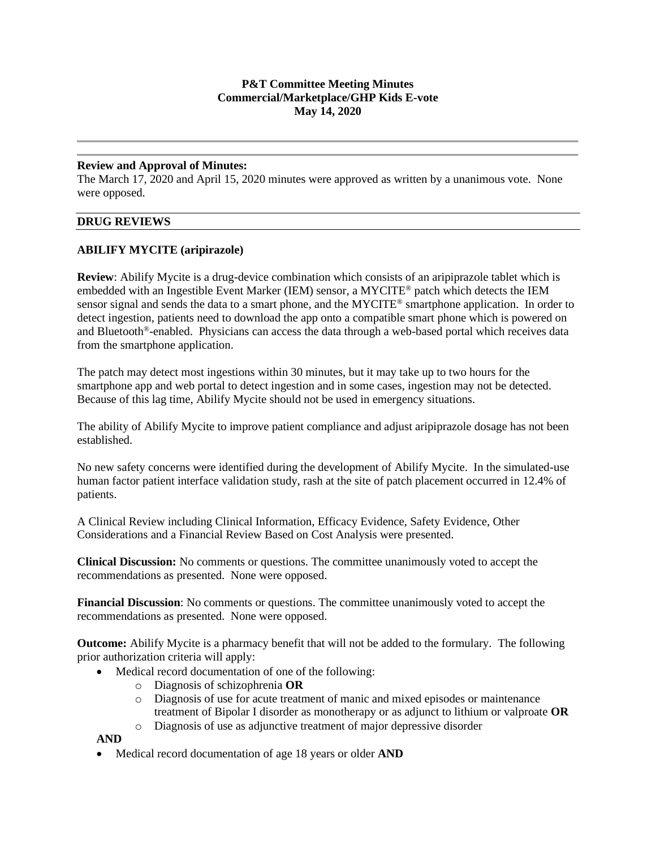# **P&T Committee Meeting Minutes Commercial/Marketplace/GHP Kids E-vote May 14, 2020**

#### **Review and Approval of Minutes:**

The March 17, 2020 and April 15, 2020 minutes were approved as written by a unanimous vote. None were opposed.

#### **DRUG REVIEWS**

# **ABILIFY MYCITE (aripirazole)**

**Review**: Abilify Mycite is a drug-device combination which consists of an aripiprazole tablet which is embedded with an Ingestible Event Marker (IEM) sensor, a MYCITE® patch which detects the IEM sensor signal and sends the data to a smart phone, and the MYCITE® smartphone application. In order to detect ingestion, patients need to download the app onto a compatible smart phone which is powered on and Bluetooth®-enabled. Physicians can access the data through a web-based portal which receives data from the smartphone application.

The patch may detect most ingestions within 30 minutes, but it may take up to two hours for the smartphone app and web portal to detect ingestion and in some cases, ingestion may not be detected. Because of this lag time, Abilify Mycite should not be used in emergency situations.

The ability of Abilify Mycite to improve patient compliance and adjust aripiprazole dosage has not been established.

No new safety concerns were identified during the development of Abilify Mycite. In the simulated-use human factor patient interface validation study, rash at the site of patch placement occurred in 12.4% of patients.

A Clinical Review including Clinical Information, Efficacy Evidence, Safety Evidence, Other Considerations and a Financial Review Based on Cost Analysis were presented.

**Clinical Discussion:** No comments or questions. The committee unanimously voted to accept the recommendations as presented. None were opposed.

**Financial Discussion**: No comments or questions. The committee unanimously voted to accept the recommendations as presented. None were opposed.

**Outcome:** Abilify Mycite is a pharmacy benefit that will not be added to the formulary. The following prior authorization criteria will apply:

- Medical record documentation of one of the following:
	- o Diagnosis of schizophrenia **OR**
	- o Diagnosis of use for acute treatment of manic and mixed episodes or maintenance treatment of Bipolar I disorder as monotherapy or as adjunct to lithium or valproate **OR**
	- o Diagnosis of use as adjunctive treatment of major depressive disorder

**AND**

• Medical record documentation of age 18 years or older **AND**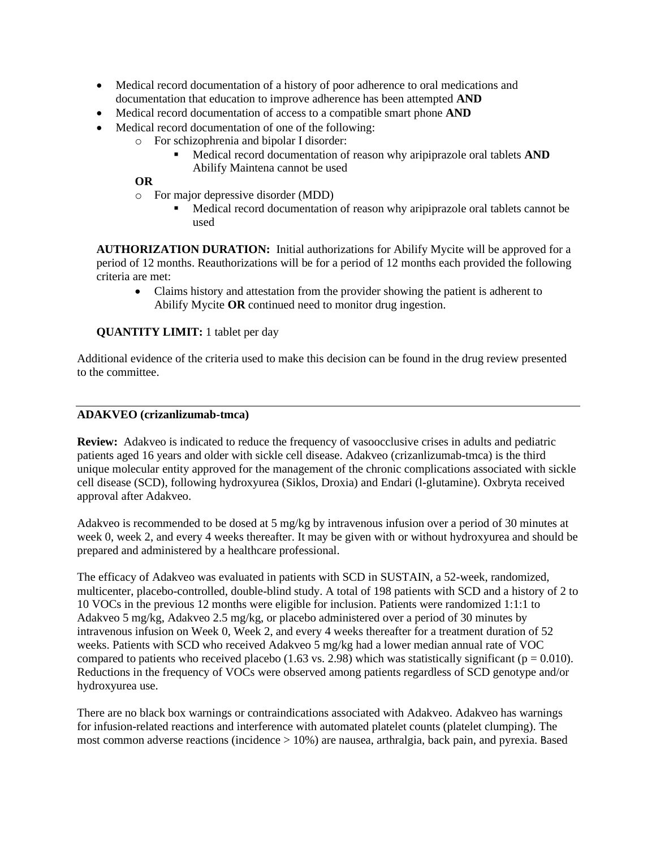- Medical record documentation of a history of poor adherence to oral medications and documentation that education to improve adherence has been attempted **AND**
- Medical record documentation of access to a compatible smart phone **AND**
- Medical record documentation of one of the following:
	- o For schizophrenia and bipolar I disorder:
		- Medical record documentation of reason why aripiprazole oral tablets **AND** Abilify Maintena cannot be used

# **OR**

- o For major depressive disorder (MDD)
	- Medical record documentation of reason why aripiprazole oral tablets cannot be used

**AUTHORIZATION DURATION:** Initial authorizations for Abilify Mycite will be approved for a period of 12 months. Reauthorizations will be for a period of 12 months each provided the following criteria are met:

• Claims history and attestation from the provider showing the patient is adherent to Abilify Mycite **OR** continued need to monitor drug ingestion.

**QUANTITY LIMIT:** 1 tablet per day

Additional evidence of the criteria used to make this decision can be found in the drug review presented to the committee.

#### **ADAKVEO (crizanlizumab-tmca)**

**Review:** Adakveo is indicated to reduce the frequency of vasoocclusive crises in adults and pediatric patients aged 16 years and older with sickle cell disease. Adakveo (crizanlizumab-tmca) is the third unique molecular entity approved for the management of the chronic complications associated with sickle cell disease (SCD), following hydroxyurea (Siklos, Droxia) and Endari (l-glutamine). Oxbryta received approval after Adakveo.

Adakveo is recommended to be dosed at 5 mg/kg by intravenous infusion over a period of 30 minutes at week 0, week 2, and every 4 weeks thereafter. It may be given with or without hydroxyurea and should be prepared and administered by a healthcare professional.

The efficacy of Adakveo was evaluated in patients with SCD in SUSTAIN, a 52-week, randomized, multicenter, placebo-controlled, double-blind study. A total of 198 patients with SCD and a history of 2 to 10 VOCs in the previous 12 months were eligible for inclusion. Patients were randomized 1:1:1 to Adakveo 5 mg/kg, Adakveo 2.5 mg/kg, or placebo administered over a period of 30 minutes by intravenous infusion on Week 0, Week 2, and every 4 weeks thereafter for a treatment duration of 52 weeks. Patients with SCD who received Adakveo 5 mg/kg had a lower median annual rate of VOC compared to patients who received placebo (1.63 vs. 2.98) which was statistically significant ( $p = 0.010$ ). Reductions in the frequency of VOCs were observed among patients regardless of SCD genotype and/or hydroxyurea use.

There are no black box warnings or contraindications associated with Adakveo. Adakveo has warnings for infusion-related reactions and interference with automated platelet counts (platelet clumping). The most common adverse reactions (incidence > 10%) are nausea, arthralgia, back pain, and pyrexia. Based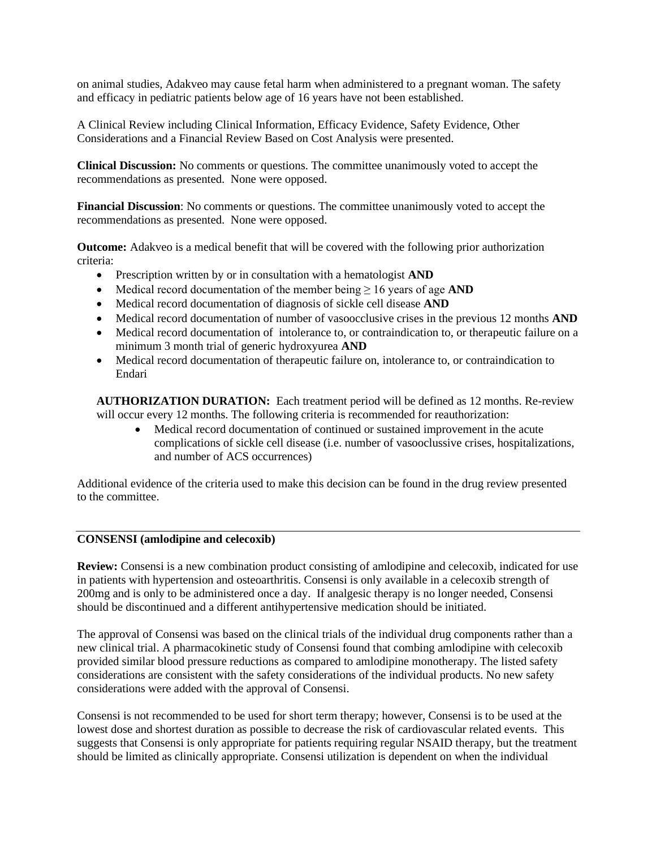on animal studies, Adakveo may cause fetal harm when administered to a pregnant woman. The safety and efficacy in pediatric patients below age of 16 years have not been established.

A Clinical Review including Clinical Information, Efficacy Evidence, Safety Evidence, Other Considerations and a Financial Review Based on Cost Analysis were presented.

**Clinical Discussion:** No comments or questions. The committee unanimously voted to accept the recommendations as presented. None were opposed.

**Financial Discussion**: No comments or questions. The committee unanimously voted to accept the recommendations as presented. None were opposed.

**Outcome:** Adakveo is a medical benefit that will be covered with the following prior authorization criteria:

- Prescription written by or in consultation with a hematologist **AND**
- Medical record documentation of the member being  $\geq 16$  years of age **AND**
- Medical record documentation of diagnosis of sickle cell disease **AND**
- Medical record documentation of number of vasoocclusive crises in the previous 12 months **AND**
- Medical record documentation of intolerance to, or contraindication to, or therapeutic failure on a minimum 3 month trial of generic hydroxyurea **AND**
- Medical record documentation of therapeutic failure on, intolerance to, or contraindication to Endari

**AUTHORIZATION DURATION:** Each treatment period will be defined as 12 months. Re-review will occur every 12 months. The following criteria is recommended for reauthorization:

• Medical record documentation of continued or sustained improvement in the acute complications of sickle cell disease (i.e. number of vasooclussive crises, hospitalizations, and number of ACS occurrences)

Additional evidence of the criteria used to make this decision can be found in the drug review presented to the committee.

#### **CONSENSI (amlodipine and celecoxib)**

**Review:** Consensi is a new combination product consisting of amlodipine and celecoxib, indicated for use in patients with hypertension and osteoarthritis. Consensi is only available in a celecoxib strength of 200mg and is only to be administered once a day. If analgesic therapy is no longer needed, Consensi should be discontinued and a different antihypertensive medication should be initiated.

The approval of Consensi was based on the clinical trials of the individual drug components rather than a new clinical trial. A pharmacokinetic study of Consensi found that combing amlodipine with celecoxib provided similar blood pressure reductions as compared to amlodipine monotherapy. The listed safety considerations are consistent with the safety considerations of the individual products. No new safety considerations were added with the approval of Consensi.

Consensi is not recommended to be used for short term therapy; however, Consensi is to be used at the lowest dose and shortest duration as possible to decrease the risk of cardiovascular related events. This suggests that Consensi is only appropriate for patients requiring regular NSAID therapy, but the treatment should be limited as clinically appropriate. Consensi utilization is dependent on when the individual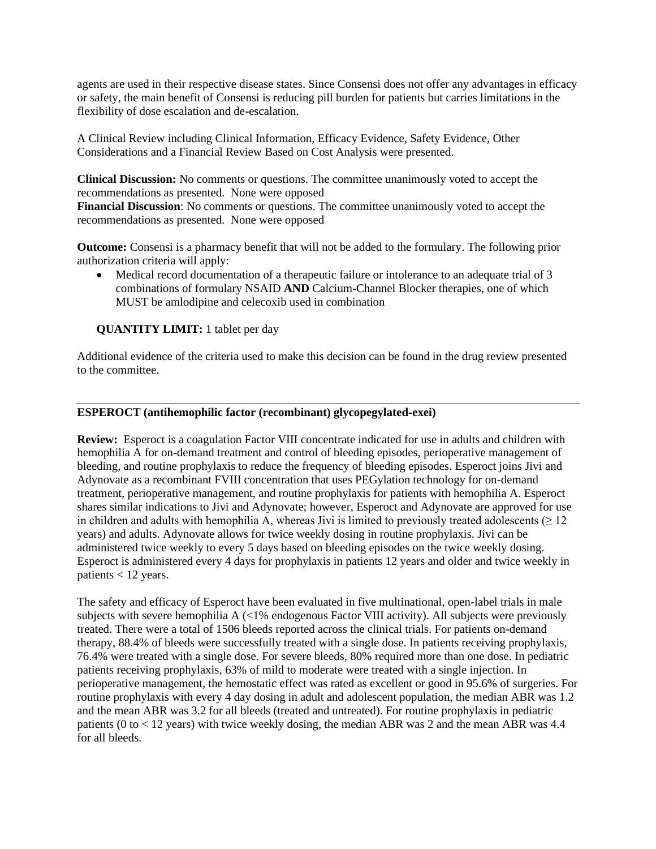agents are used in their respective disease states. Since Consensi does not offer any advantages in efficacy or safety, the main benefit of Consensi is reducing pill burden for patients but carries limitations in the flexibility of dose escalation and de-escalation.

A Clinical Review including Clinical Information, Efficacy Evidence, Safety Evidence, Other Considerations and a Financial Review Based on Cost Analysis were presented.

**Clinical Discussion:** No comments or questions. The committee unanimously voted to accept the recommendations as presented. None were opposed

**Financial Discussion**: No comments or questions. The committee unanimously voted to accept the recommendations as presented. None were opposed

**Outcome:** Consensi is a pharmacy benefit that will not be added to the formulary. The following prior authorization criteria will apply:

• Medical record documentation of a therapeutic failure or intolerance to an adequate trial of 3 combinations of formulary NSAID **AND** Calcium-Channel Blocker therapies, one of which MUST be amlodipine and celecoxib used in combination

**QUANTITY LIMIT:** 1 tablet per day

Additional evidence of the criteria used to make this decision can be found in the drug review presented to the committee.

# **ESPEROCT (antihemophilic factor (recombinant) glycopegylated-exei)**

**Review:** Esperoct is a coagulation Factor VIII concentrate indicated for use in adults and children with hemophilia A for on-demand treatment and control of bleeding episodes, perioperative management of bleeding, and routine prophylaxis to reduce the frequency of bleeding episodes. Esperoct joins Jivi and Adynovate as a recombinant FVIII concentration that uses PEGylation technology for on-demand treatment, perioperative management, and routine prophylaxis for patients with hemophilia A. Esperoct shares similar indications to Jivi and Adynovate; however, Esperoct and Adynovate are approved for use in children and adults with hemophilia A, whereas Jivi is limited to previously treated adolescents ( $\geq 12$ ) years) and adults. Adynovate allows for twice weekly dosing in routine prophylaxis. Jivi can be administered twice weekly to every 5 days based on bleeding episodes on the twice weekly dosing. Esperoct is administered every 4 days for prophylaxis in patients 12 years and older and twice weekly in patients < 12 years.

The safety and efficacy of Esperoct have been evaluated in five multinational, open-label trials in male subjects with severe hemophilia A (<1% endogenous Factor VIII activity). All subjects were previously treated. There were a total of 1506 bleeds reported across the clinical trials. For patients on-demand therapy, 88.4% of bleeds were successfully treated with a single dose. In patients receiving prophylaxis, 76.4% were treated with a single dose. For severe bleeds, 80% required more than one dose. In pediatric patients receiving prophylaxis, 63% of mild to moderate were treated with a single injection. In perioperative management, the hemostatic effect was rated as excellent or good in 95.6% of surgeries. For routine prophylaxis with every 4 day dosing in adult and adolescent population, the median ABR was 1.2 and the mean ABR was 3.2 for all bleeds (treated and untreated). For routine prophylaxis in pediatric patients (0 to < 12 years) with twice weekly dosing, the median ABR was 2 and the mean ABR was 4.4 for all bleeds.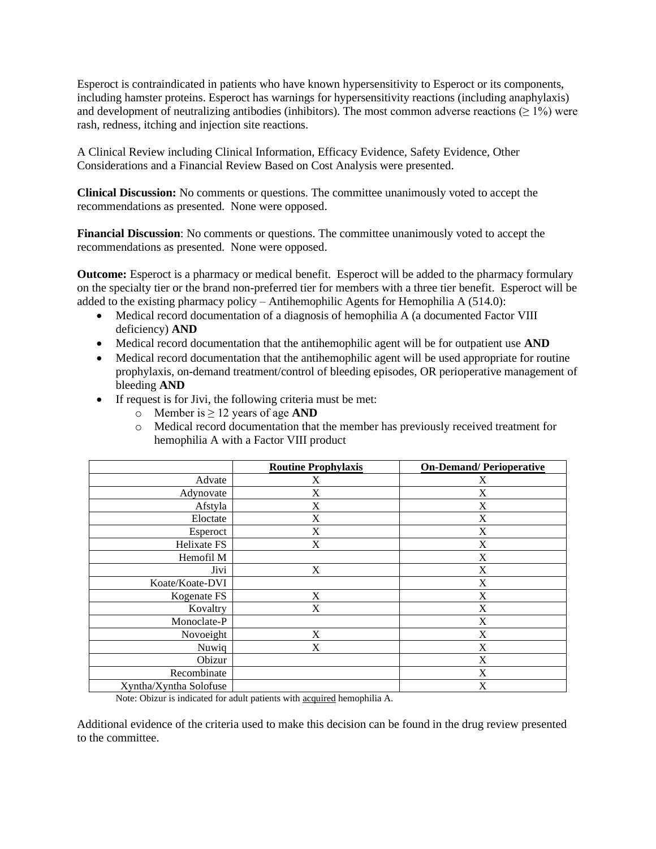Esperoct is contraindicated in patients who have known hypersensitivity to Esperoct or its components, including hamster proteins. Esperoct has warnings for hypersensitivity reactions (including anaphylaxis) and development of neutralizing antibodies (inhibitors). The most common adverse reactions ( $\geq 1\%$ ) were rash, redness, itching and injection site reactions.

A Clinical Review including Clinical Information, Efficacy Evidence, Safety Evidence, Other Considerations and a Financial Review Based on Cost Analysis were presented.

**Clinical Discussion:** No comments or questions. The committee unanimously voted to accept the recommendations as presented. None were opposed.

**Financial Discussion**: No comments or questions. The committee unanimously voted to accept the recommendations as presented. None were opposed.

**Outcome:** Esperoct is a pharmacy or medical benefit. Esperoct will be added to the pharmacy formulary on the specialty tier or the brand non-preferred tier for members with a three tier benefit. Esperoct will be added to the existing pharmacy policy – Antihemophilic Agents for Hemophilia A (514.0):

- Medical record documentation of a diagnosis of hemophilia A (a documented Factor VIII deficiency) **AND**
- Medical record documentation that the antihemophilic agent will be for outpatient use **AND**
- Medical record documentation that the antihemophilic agent will be used appropriate for routine prophylaxis, on-demand treatment/control of bleeding episodes, OR perioperative management of bleeding **AND**
- If request is for Jivi, the following criteria must be met:
	- o Member is ≥ 12 years of age **AND**
	- o Medical record documentation that the member has previously received treatment for hemophilia A with a Factor VIII product

|                        | <b>Routine Prophylaxis</b> | <b>On-Demand/Perioperative</b> |
|------------------------|----------------------------|--------------------------------|
| Advate                 | X                          | X                              |
| Adynovate              | X                          | X                              |
| Afstyla                | X                          | X                              |
| Eloctate               | X                          | X                              |
| Esperoct               | X                          | X                              |
| Helixate FS            | X                          | X                              |
| Hemofil M              |                            | X                              |
| Jivi                   | X                          | $\mathbf X$                    |
| Koate/Koate-DVI        |                            | X                              |
| Kogenate FS            | X                          | X                              |
| Kovaltry               | X                          | X                              |
| Monoclate-P            |                            | X                              |
| Novoeight              | X                          | X                              |
| Nuwiq                  | X                          | X                              |
| Obizur                 |                            | X                              |
| Recombinate            |                            | X                              |
| Xyntha/Xyntha Solofuse |                            | X                              |

Note: Obizur is indicated for adult patients with acquired hemophilia A.

Additional evidence of the criteria used to make this decision can be found in the drug review presented to the committee.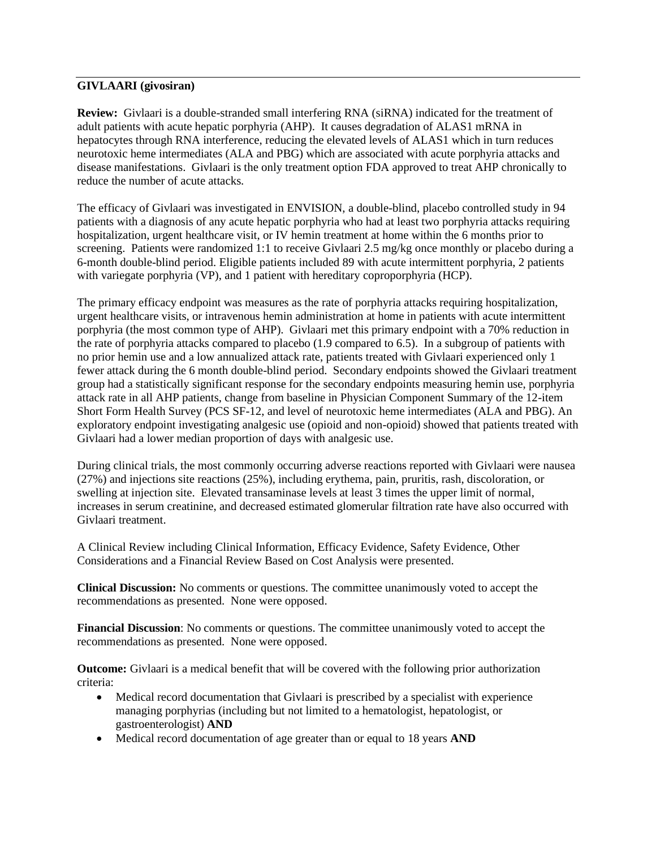# **GIVLAARI (givosiran)**

**Review:** Givlaari is a double-stranded small interfering RNA (siRNA) indicated for the treatment of adult patients with acute hepatic porphyria (AHP). It causes degradation of ALAS1 mRNA in hepatocytes through RNA interference, reducing the elevated levels of ALAS1 which in turn reduces neurotoxic heme intermediates (ALA and PBG) which are associated with acute porphyria attacks and disease manifestations. Givlaari is the only treatment option FDA approved to treat AHP chronically to reduce the number of acute attacks.

The efficacy of Givlaari was investigated in ENVISION, a double-blind, placebo controlled study in 94 patients with a diagnosis of any acute hepatic porphyria who had at least two porphyria attacks requiring hospitalization, urgent healthcare visit, or IV hemin treatment at home within the 6 months prior to screening. Patients were randomized 1:1 to receive Givlaari 2.5 mg/kg once monthly or placebo during a 6-month double-blind period. Eligible patients included 89 with acute intermittent porphyria, 2 patients with variegate porphyria (VP), and 1 patient with hereditary coproporphyria (HCP).

The primary efficacy endpoint was measures as the rate of porphyria attacks requiring hospitalization, urgent healthcare visits, or intravenous hemin administration at home in patients with acute intermittent porphyria (the most common type of AHP). Givlaari met this primary endpoint with a 70% reduction in the rate of porphyria attacks compared to placebo (1.9 compared to 6.5). In a subgroup of patients with no prior hemin use and a low annualized attack rate, patients treated with Givlaari experienced only 1 fewer attack during the 6 month double-blind period. Secondary endpoints showed the Givlaari treatment group had a statistically significant response for the secondary endpoints measuring hemin use, porphyria attack rate in all AHP patients, change from baseline in Physician Component Summary of the 12-item Short Form Health Survey (PCS SF-12, and level of neurotoxic heme intermediates (ALA and PBG). An exploratory endpoint investigating analgesic use (opioid and non-opioid) showed that patients treated with Givlaari had a lower median proportion of days with analgesic use.

During clinical trials, the most commonly occurring adverse reactions reported with Givlaari were nausea (27%) and injections site reactions (25%), including erythema, pain, pruritis, rash, discoloration, or swelling at injection site. Elevated transaminase levels at least 3 times the upper limit of normal, increases in serum creatinine, and decreased estimated glomerular filtration rate have also occurred with Givlaari treatment.

A Clinical Review including Clinical Information, Efficacy Evidence, Safety Evidence, Other Considerations and a Financial Review Based on Cost Analysis were presented.

**Clinical Discussion:** No comments or questions. The committee unanimously voted to accept the recommendations as presented. None were opposed.

**Financial Discussion**: No comments or questions. The committee unanimously voted to accept the recommendations as presented. None were opposed.

**Outcome:** Givlaari is a medical benefit that will be covered with the following prior authorization criteria:

- Medical record documentation that Givlaari is prescribed by a specialist with experience managing porphyrias (including but not limited to a hematologist, hepatologist, or gastroenterologist) **AND**
- Medical record documentation of age greater than or equal to 18 years **AND**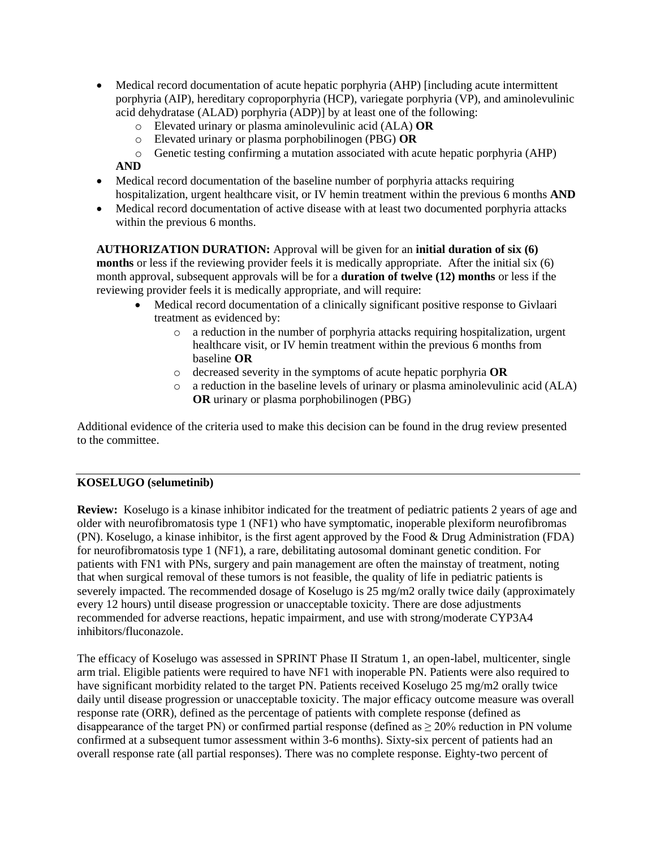- Medical record documentation of acute hepatic porphyria (AHP) [including acute intermittent porphyria (AIP), hereditary coproporphyria (HCP), variegate porphyria (VP), and aminolevulinic acid dehydratase (ALAD) porphyria (ADP)] by at least one of the following:
	- o Elevated urinary or plasma aminolevulinic acid (ALA) **OR**
	- o Elevated urinary or plasma porphobilinogen (PBG) **OR**
	- o Genetic testing confirming a mutation associated with acute hepatic porphyria (AHP)

### **AND**

- Medical record documentation of the baseline number of porphyria attacks requiring hospitalization, urgent healthcare visit, or IV hemin treatment within the previous 6 months **AND**
- Medical record documentation of active disease with at least two documented porphyria attacks within the previous 6 months.

**AUTHORIZATION DURATION:** Approval will be given for an **initial duration of six (6) months** or less if the reviewing provider feels it is medically appropriate. After the initial six (6) month approval, subsequent approvals will be for a **duration of twelve (12) months** or less if the reviewing provider feels it is medically appropriate, and will require:

- Medical record documentation of a clinically significant positive response to Givlaari treatment as evidenced by:
	- o a reduction in the number of porphyria attacks requiring hospitalization, urgent healthcare visit, or IV hemin treatment within the previous 6 months from baseline **OR**
	- o decreased severity in the symptoms of acute hepatic porphyria **OR**
	- $\circ$  a reduction in the baseline levels of urinary or plasma aminolevulinic acid (ALA) **OR** urinary or plasma porphobilinogen (PBG)

Additional evidence of the criteria used to make this decision can be found in the drug review presented to the committee.

# **KOSELUGO (selumetinib)**

**Review:** Koselugo is a kinase inhibitor indicated for the treatment of pediatric patients 2 years of age and older with neurofibromatosis type 1 (NF1) who have symptomatic, inoperable plexiform neurofibromas (PN). Koselugo, a kinase inhibitor, is the first agent approved by the Food & Drug Administration (FDA) for neurofibromatosis type 1 (NF1), a rare, debilitating autosomal dominant genetic condition. For patients with FN1 with PNs, surgery and pain management are often the mainstay of treatment, noting that when surgical removal of these tumors is not feasible, the quality of life in pediatric patients is severely impacted. The recommended dosage of Koselugo is  $25 \text{ mg/m2}$  orally twice daily (approximately every 12 hours) until disease progression or unacceptable toxicity. There are dose adjustments recommended for adverse reactions, hepatic impairment, and use with strong/moderate CYP3A4 inhibitors/fluconazole.

The efficacy of Koselugo was assessed in SPRINT Phase II Stratum 1, an open-label, multicenter, single arm trial. Eligible patients were required to have NF1 with inoperable PN. Patients were also required to have significant morbidity related to the target PN. Patients received Koselugo 25 mg/m2 orally twice daily until disease progression or unacceptable toxicity. The major efficacy outcome measure was overall response rate (ORR), defined as the percentage of patients with complete response (defined as disappearance of the target PN) or confirmed partial response (defined as ≥ 20% reduction in PN volume confirmed at a subsequent tumor assessment within 3-6 months). Sixty-six percent of patients had an overall response rate (all partial responses). There was no complete response. Eighty-two percent of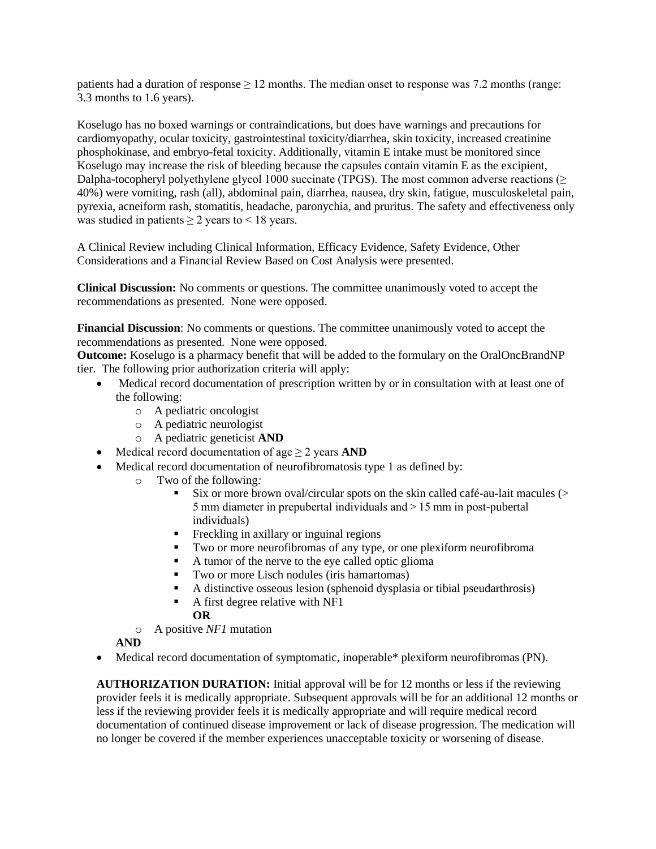patients had a duration of response  $\geq 12$  months. The median onset to response was 7.2 months (range: 3.3 months to 1.6 years).

Koselugo has no boxed warnings or contraindications, but does have warnings and precautions for cardiomyopathy, ocular toxicity, gastrointestinal toxicity/diarrhea, skin toxicity, increased creatinine phosphokinase, and embryo-fetal toxicity. Additionally, vitamin E intake must be monitored since Koselugo may increase the risk of bleeding because the capsules contain vitamin E as the excipient, Dalpha-tocopheryl polyethylene glycol 1000 succinate (TPGS). The most common adverse reactions ( $\geq$ 40%) were vomiting, rash (all), abdominal pain, diarrhea, nausea, dry skin, fatigue, musculoskeletal pain, pyrexia, acneiform rash, stomatitis, headache, paronychia, and pruritus. The safety and effectiveness only was studied in patients  $\geq 2$  years to < 18 years.

A Clinical Review including Clinical Information, Efficacy Evidence, Safety Evidence, Other Considerations and a Financial Review Based on Cost Analysis were presented.

**Clinical Discussion:** No comments or questions. The committee unanimously voted to accept the recommendations as presented. None were opposed.

**Financial Discussion**: No comments or questions. The committee unanimously voted to accept the recommendations as presented. None were opposed.

**Outcome:** Koselugo is a pharmacy benefit that will be added to the formulary on the OralOncBrandNP tier. The following prior authorization criteria will apply:

- Medical record documentation of prescription written by or in consultation with at least one of the following:
	- o A pediatric oncologist
	- o A pediatric neurologist
	- o A pediatric geneticist **AND**
- Medical record documentation of age  $\geq 2$  years **AND**
- Medical record documentation of neurofibromatosis type 1 as defined by:<br>  $\circ$  Two of the following:
	- Two of the following:
		- Six or more brown oval/circular spots on the skin called café-au-lait macules (> 5 mm diameter in prepubertal individuals and > 15 mm in post-pubertal individuals)
		- **•** Freckling in axillary or inguinal regions
		- Two or more neurofibromas of any type, or one plexiform neurofibroma
		- A tumor of the nerve to the eye called optic glioma
		- Two or more Lisch nodules (iris hamartomas)
		- A distinctive osseous lesion (sphenoid dysplasia or tibial pseudarthrosis)
		- $\blacksquare$  A first degree relative with NF1
			- **OR**
	- o A positive *NF1* mutation

# **AND**

• Medical record documentation of symptomatic, inoperable\* plexiform neurofibromas (PN).

**AUTHORIZATION DURATION:** Initial approval will be for 12 months or less if the reviewing provider feels it is medically appropriate. Subsequent approvals will be for an additional 12 months or less if the reviewing provider feels it is medically appropriate and will require medical record documentation of continued disease improvement or lack of disease progression. The medication will no longer be covered if the member experiences unacceptable toxicity or worsening of disease.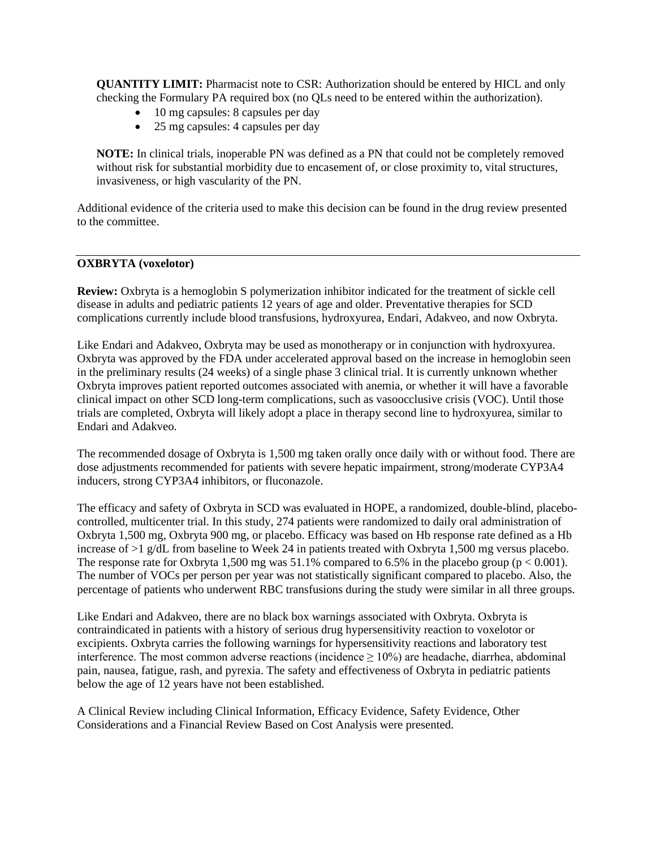**QUANTITY LIMIT:** Pharmacist note to CSR: Authorization should be entered by HICL and only checking the Formulary PA required box (no QLs need to be entered within the authorization).

- 10 mg capsules: 8 capsules per day
- 25 mg capsules: 4 capsules per day

**NOTE:** In clinical trials, inoperable PN was defined as a PN that could not be completely removed without risk for substantial morbidity due to encasement of, or close proximity to, vital structures, invasiveness, or high vascularity of the PN.

Additional evidence of the criteria used to make this decision can be found in the drug review presented to the committee.

#### **OXBRYTA (voxelotor)**

**Review:** Oxbryta is a hemoglobin S polymerization inhibitor indicated for the treatment of sickle cell disease in adults and pediatric patients 12 years of age and older. Preventative therapies for SCD complications currently include blood transfusions, hydroxyurea, Endari, Adakveo, and now Oxbryta.

Like Endari and Adakveo, Oxbryta may be used as monotherapy or in conjunction with hydroxyurea. Oxbryta was approved by the FDA under accelerated approval based on the increase in hemoglobin seen in the preliminary results (24 weeks) of a single phase 3 clinical trial. It is currently unknown whether Oxbryta improves patient reported outcomes associated with anemia, or whether it will have a favorable clinical impact on other SCD long-term complications, such as vasoocclusive crisis (VOC). Until those trials are completed, Oxbryta will likely adopt a place in therapy second line to hydroxyurea, similar to Endari and Adakveo.

The recommended dosage of Oxbryta is 1,500 mg taken orally once daily with or without food. There are dose adjustments recommended for patients with severe hepatic impairment, strong/moderate CYP3A4 inducers, strong CYP3A4 inhibitors, or fluconazole.

The efficacy and safety of Oxbryta in SCD was evaluated in HOPE, a randomized, double-blind, placebocontrolled, multicenter trial. In this study, 274 patients were randomized to daily oral administration of Oxbryta 1,500 mg, Oxbryta 900 mg, or placebo. Efficacy was based on Hb response rate defined as a Hb increase of >1 g/dL from baseline to Week 24 in patients treated with Oxbryta 1,500 mg versus placebo. The response rate for Oxbryta 1,500 mg was  $51.1\%$  compared to 6.5% in the placebo group ( $p < 0.001$ ). The number of VOCs per person per year was not statistically significant compared to placebo. Also, the percentage of patients who underwent RBC transfusions during the study were similar in all three groups.

Like Endari and Adakveo, there are no black box warnings associated with Oxbryta. Oxbryta is contraindicated in patients with a history of serious drug hypersensitivity reaction to voxelotor or excipients. Oxbryta carries the following warnings for hypersensitivity reactions and laboratory test interference. The most common adverse reactions (incidence  $\geq 10\%$ ) are headache, diarrhea, abdominal pain, nausea, fatigue, rash, and pyrexia. The safety and effectiveness of Oxbryta in pediatric patients below the age of 12 years have not been established.

A Clinical Review including Clinical Information, Efficacy Evidence, Safety Evidence, Other Considerations and a Financial Review Based on Cost Analysis were presented.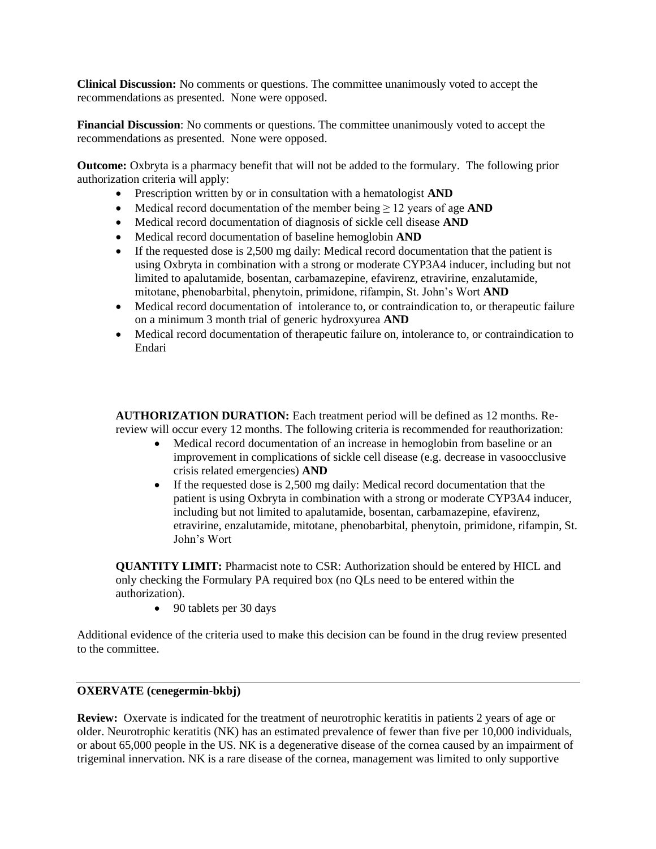**Clinical Discussion:** No comments or questions. The committee unanimously voted to accept the recommendations as presented. None were opposed.

**Financial Discussion**: No comments or questions. The committee unanimously voted to accept the recommendations as presented. None were opposed.

**Outcome:** Oxbryta is a pharmacy benefit that will not be added to the formulary. The following prior authorization criteria will apply:

- Prescription written by or in consultation with a hematologist **AND**
- Medical record documentation of the member being ≥ 12 years of age **AND**
- Medical record documentation of diagnosis of sickle cell disease **AND**
- Medical record documentation of baseline hemoglobin **AND**
- If the requested dose is 2,500 mg daily: Medical record documentation that the patient is using Oxbryta in combination with a strong or moderate CYP3A4 inducer, including but not limited to apalutamide, bosentan, carbamazepine, efavirenz, etravirine, enzalutamide, mitotane, phenobarbital, phenytoin, primidone, rifampin, St. John's Wort **AND**
- Medical record documentation of intolerance to, or contraindication to, or therapeutic failure on a minimum 3 month trial of generic hydroxyurea **AND**
- Medical record documentation of therapeutic failure on, intolerance to, or contraindication to Endari

**AUTHORIZATION DURATION:** Each treatment period will be defined as 12 months. Rereview will occur every 12 months. The following criteria is recommended for reauthorization:

- Medical record documentation of an increase in hemoglobin from baseline or an improvement in complications of sickle cell disease (e.g. decrease in vasoocclusive crisis related emergencies) **AND**
- If the requested dose is 2,500 mg daily: Medical record documentation that the patient is using Oxbryta in combination with a strong or moderate CYP3A4 inducer, including but not limited to apalutamide, bosentan, carbamazepine, efavirenz, etravirine, enzalutamide, mitotane, phenobarbital, phenytoin, primidone, rifampin, St. John's Wort

**QUANTITY LIMIT:** Pharmacist note to CSR: Authorization should be entered by HICL and only checking the Formulary PA required box (no QLs need to be entered within the authorization).

• 90 tablets per 30 days

Additional evidence of the criteria used to make this decision can be found in the drug review presented to the committee.

### **OXERVATE (cenegermin-bkbj)**

**Review:** Oxervate is indicated for the treatment of neurotrophic keratitis in patients 2 years of age or older. Neurotrophic keratitis (NK) has an estimated prevalence of fewer than five per 10,000 individuals, or about 65,000 people in the US. NK is a degenerative disease of the cornea caused by an impairment of trigeminal innervation. NK is a rare disease of the cornea, management was limited to only supportive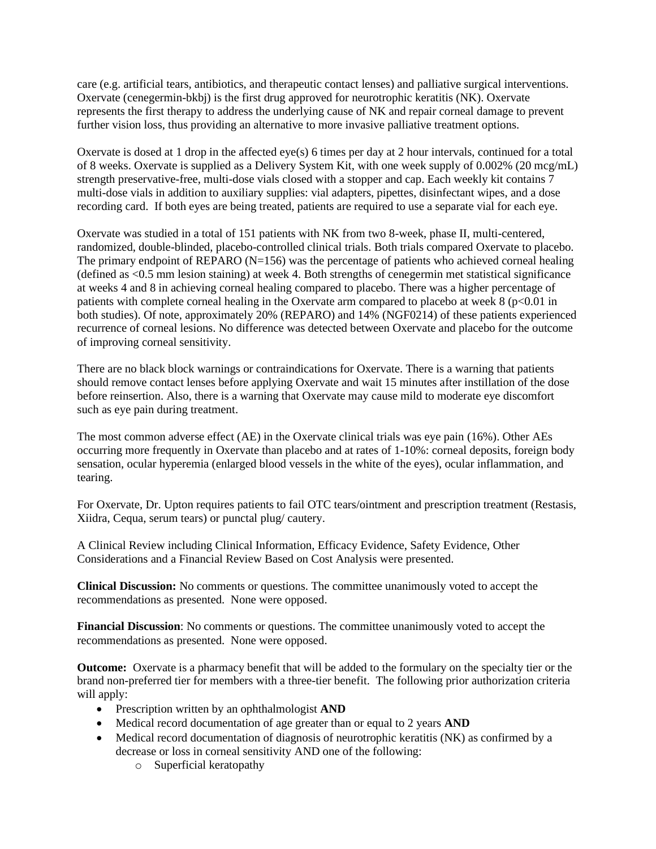care (e.g. artificial tears, antibiotics, and therapeutic contact lenses) and palliative surgical interventions. Oxervate (cenegermin-bkbj) is the first drug approved for neurotrophic keratitis (NK). Oxervate represents the first therapy to address the underlying cause of NK and repair corneal damage to prevent further vision loss, thus providing an alternative to more invasive palliative treatment options.

Oxervate is dosed at 1 drop in the affected eye(s) 6 times per day at 2 hour intervals, continued for a total of 8 weeks. Oxervate is supplied as a Delivery System Kit, with one week supply of 0.002% (20 mcg/mL) strength preservative-free, multi-dose vials closed with a stopper and cap. Each weekly kit contains 7 multi-dose vials in addition to auxiliary supplies: vial adapters, pipettes, disinfectant wipes, and a dose recording card. If both eyes are being treated, patients are required to use a separate vial for each eye.

Oxervate was studied in a total of 151 patients with NK from two 8-week, phase II, multi-centered, randomized, double-blinded, placebo-controlled clinical trials. Both trials compared Oxervate to placebo. The primary endpoint of REPARO (N=156) was the percentage of patients who achieved corneal healing (defined as <0.5 mm lesion staining) at week 4. Both strengths of cenegermin met statistical significance at weeks 4 and 8 in achieving corneal healing compared to placebo. There was a higher percentage of patients with complete corneal healing in the Oxervate arm compared to placebo at week  $8$  ( $p<0.01$  in both studies). Of note, approximately 20% (REPARO) and 14% (NGF0214) of these patients experienced recurrence of corneal lesions. No difference was detected between Oxervate and placebo for the outcome of improving corneal sensitivity.

There are no black block warnings or contraindications for Oxervate. There is a warning that patients should remove contact lenses before applying Oxervate and wait 15 minutes after instillation of the dose before reinsertion. Also, there is a warning that Oxervate may cause mild to moderate eye discomfort such as eye pain during treatment.

The most common adverse effect (AE) in the Oxervate clinical trials was eye pain (16%). Other AEs occurring more frequently in Oxervate than placebo and at rates of 1-10%: corneal deposits, foreign body sensation, ocular hyperemia (enlarged blood vessels in the white of the eyes), ocular inflammation, and tearing.

For Oxervate, Dr. Upton requires patients to fail OTC tears/ointment and prescription treatment (Restasis, Xiidra, Cequa, serum tears) or punctal plug/ cautery.

A Clinical Review including Clinical Information, Efficacy Evidence, Safety Evidence, Other Considerations and a Financial Review Based on Cost Analysis were presented.

**Clinical Discussion:** No comments or questions. The committee unanimously voted to accept the recommendations as presented. None were opposed.

**Financial Discussion**: No comments or questions. The committee unanimously voted to accept the recommendations as presented. None were opposed.

**Outcome:** Oxervate is a pharmacy benefit that will be added to the formulary on the specialty tier or the brand non-preferred tier for members with a three-tier benefit. The following prior authorization criteria will apply:

- Prescription written by an ophthalmologist **AND**
- Medical record documentation of age greater than or equal to 2 years **AND**
- Medical record documentation of diagnosis of neurotrophic keratitis (NK) as confirmed by a decrease or loss in corneal sensitivity AND one of the following:
	- o Superficial keratopathy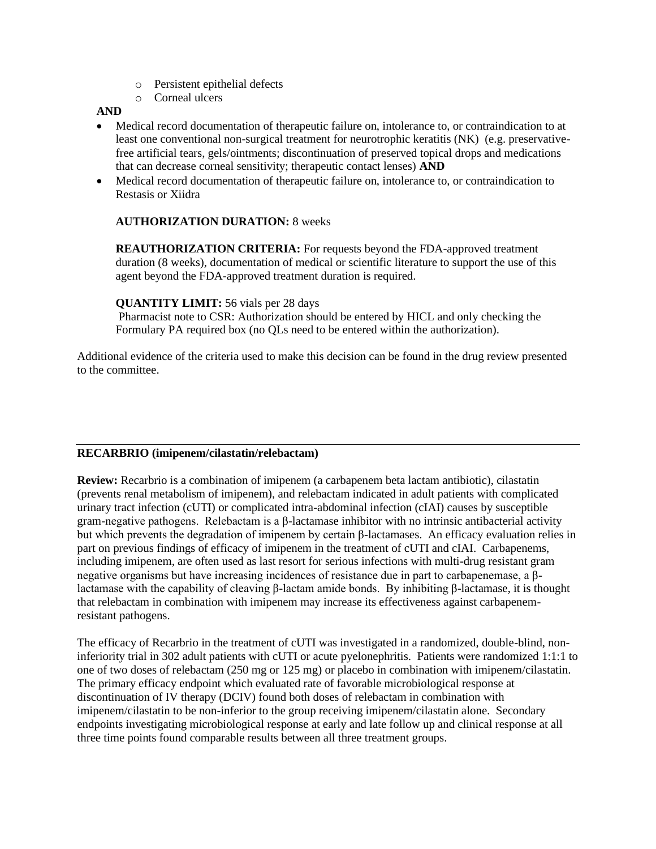- o Persistent epithelial defects
- o Corneal ulcers

**AND**

- Medical record documentation of therapeutic failure on, intolerance to, or contraindication to at least one conventional non-surgical treatment for neurotrophic keratitis (NK) (e.g. preservativefree artificial tears, gels/ointments; discontinuation of preserved topical drops and medications that can decrease corneal sensitivity; therapeutic contact lenses) **AND**
- Medical record documentation of therapeutic failure on, intolerance to, or contraindication to Restasis or Xiidra

# **AUTHORIZATION DURATION:** 8 weeks

**REAUTHORIZATION CRITERIA:** For requests beyond the FDA-approved treatment duration (8 weeks), documentation of medical or scientific literature to support the use of this agent beyond the FDA-approved treatment duration is required.

# **QUANTITY LIMIT:** 56 vials per 28 days

Pharmacist note to CSR: Authorization should be entered by HICL and only checking the Formulary PA required box (no QLs need to be entered within the authorization).

Additional evidence of the criteria used to make this decision can be found in the drug review presented to the committee.

# **RECARBRIO (imipenem/cilastatin/relebactam)**

**Review:** Recarbrio is a combination of imipenem (a carbapenem beta lactam antibiotic), cilastatin (prevents renal metabolism of imipenem), and relebactam indicated in adult patients with complicated urinary tract infection (cUTI) or complicated intra-abdominal infection (cIAI) causes by susceptible gram-negative pathogens. Relebactam is a β-lactamase inhibitor with no intrinsic antibacterial activity but which prevents the degradation of imipenem by certain β-lactamases. An efficacy evaluation relies in part on previous findings of efficacy of imipenem in the treatment of cUTI and cIAI. Carbapenems, including imipenem, are often used as last resort for serious infections with multi-drug resistant gram negative organisms but have increasing incidences of resistance due in part to carbapenemase, a βlactamase with the capability of cleaving β-lactam amide bonds. By inhibiting β-lactamase, it is thought that relebactam in combination with imipenem may increase its effectiveness against carbapenemresistant pathogens.

The efficacy of Recarbrio in the treatment of cUTI was investigated in a randomized, double-blind, noninferiority trial in 302 adult patients with cUTI or acute pyelonephritis. Patients were randomized 1:1:1 to one of two doses of relebactam (250 mg or 125 mg) or placebo in combination with imipenem/cilastatin. The primary efficacy endpoint which evaluated rate of favorable microbiological response at discontinuation of IV therapy (DCIV) found both doses of relebactam in combination with imipenem/cilastatin to be non-inferior to the group receiving imipenem/cilastatin alone. Secondary endpoints investigating microbiological response at early and late follow up and clinical response at all three time points found comparable results between all three treatment groups.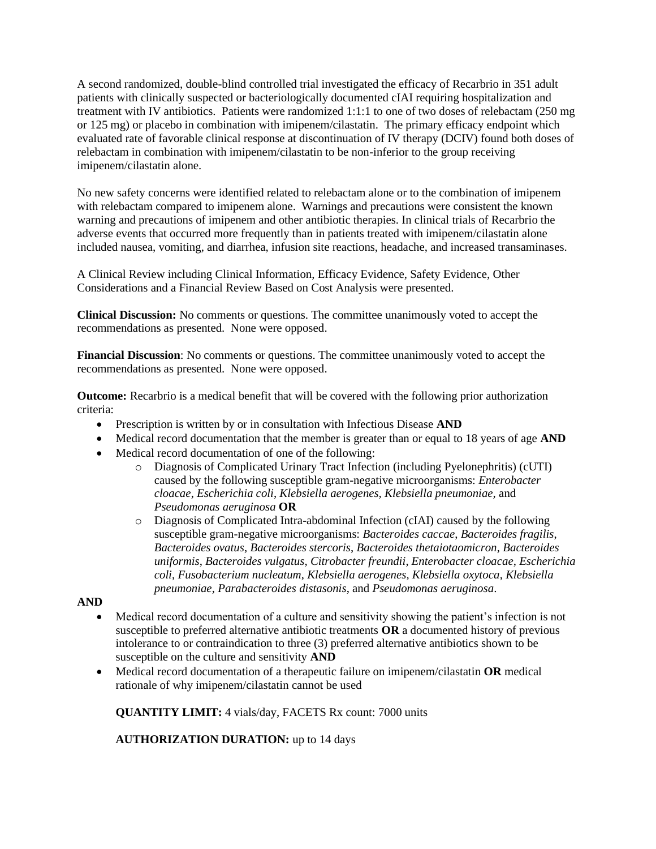A second randomized, double-blind controlled trial investigated the efficacy of Recarbrio in 351 adult patients with clinically suspected or bacteriologically documented cIAI requiring hospitalization and treatment with IV antibiotics. Patients were randomized 1:1:1 to one of two doses of relebactam (250 mg or 125 mg) or placebo in combination with imipenem/cilastatin. The primary efficacy endpoint which evaluated rate of favorable clinical response at discontinuation of IV therapy (DCIV) found both doses of relebactam in combination with imipenem/cilastatin to be non-inferior to the group receiving imipenem/cilastatin alone.

No new safety concerns were identified related to relebactam alone or to the combination of imipenem with relebactam compared to imipenem alone. Warnings and precautions were consistent the known warning and precautions of imipenem and other antibiotic therapies. In clinical trials of Recarbrio the adverse events that occurred more frequently than in patients treated with imipenem/cilastatin alone included nausea, vomiting, and diarrhea, infusion site reactions, headache, and increased transaminases.

A Clinical Review including Clinical Information, Efficacy Evidence, Safety Evidence, Other Considerations and a Financial Review Based on Cost Analysis were presented.

**Clinical Discussion:** No comments or questions. The committee unanimously voted to accept the recommendations as presented. None were opposed.

**Financial Discussion**: No comments or questions. The committee unanimously voted to accept the recommendations as presented. None were opposed.

**Outcome:** Recarbrio is a medical benefit that will be covered with the following prior authorization criteria:

- Prescription is written by or in consultation with Infectious Disease **AND**
- Medical record documentation that the member is greater than or equal to 18 years of age **AND**
- Medical record documentation of one of the following:
	- o Diagnosis of Complicated Urinary Tract Infection (including Pyelonephritis) (cUTI) caused by the following susceptible gram-negative microorganisms: *Enterobacter cloacae*, *Escherichia coli*, *Klebsiella aerogenes, Klebsiella pneumoniae,* and *Pseudomonas aeruginosa* **OR**
	- o Diagnosis of Complicated Intra-abdominal Infection (cIAI) caused by the following susceptible gram-negative microorganisms: *Bacteroides caccae*, *Bacteroides fragilis*, *Bacteroides ovatus*, *Bacteroides stercoris*, *Bacteroides thetaiotaomicron*, *Bacteroides uniformis*, *Bacteroides vulgatus*, *Citrobacter freundii*, *Enterobacter cloacae*, *Escherichia coli*, *Fusobacterium nucleatum*, *Klebsiella aerogenes, Klebsiella oxytoca*, *Klebsiella pneumoniae*, *Parabacteroides distasonis*, and *Pseudomonas aeruginosa*.

#### **AND**

- Medical record documentation of a culture and sensitivity showing the patient's infection is not susceptible to preferred alternative antibiotic treatments **OR** a documented history of previous intolerance to or contraindication to three (3) preferred alternative antibiotics shown to be susceptible on the culture and sensitivity **AND**
- Medical record documentation of a therapeutic failure on imipenem/cilastatin **OR** medical rationale of why imipenem/cilastatin cannot be used

**QUANTITY LIMIT:** 4 vials/day, FACETS Rx count: 7000 units

**AUTHORIZATION DURATION:** up to 14 days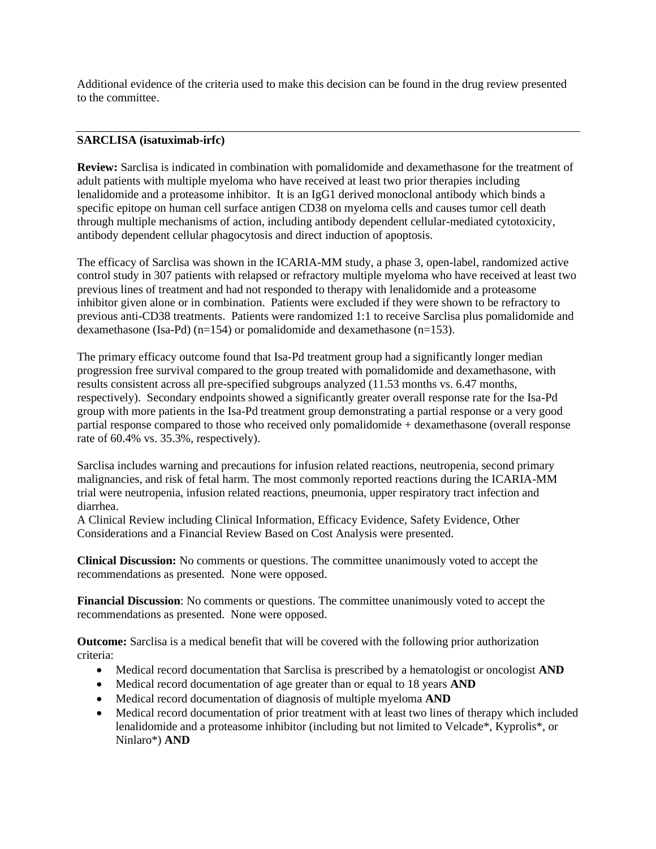Additional evidence of the criteria used to make this decision can be found in the drug review presented to the committee.

# **SARCLISA (isatuximab-irfc)**

**Review:** Sarclisa is indicated in combination with pomalidomide and dexamethasone for the treatment of adult patients with multiple myeloma who have received at least two prior therapies including lenalidomide and a proteasome inhibitor. It is an IgG1 derived monoclonal antibody which binds a specific epitope on human cell surface antigen CD38 on myeloma cells and causes tumor cell death through multiple mechanisms of action, including antibody dependent cellular-mediated cytotoxicity, antibody dependent cellular phagocytosis and direct induction of apoptosis.

The efficacy of Sarclisa was shown in the ICARIA-MM study, a phase 3, open-label, randomized active control study in 307 patients with relapsed or refractory multiple myeloma who have received at least two previous lines of treatment and had not responded to therapy with lenalidomide and a proteasome inhibitor given alone or in combination. Patients were excluded if they were shown to be refractory to previous anti-CD38 treatments. Patients were randomized 1:1 to receive Sarclisa plus pomalidomide and dexamethasone (Isa-Pd) (n=154) or pomalidomide and dexamethasone (n=153).

The primary efficacy outcome found that Isa-Pd treatment group had a significantly longer median progression free survival compared to the group treated with pomalidomide and dexamethasone, with results consistent across all pre-specified subgroups analyzed (11.53 months vs. 6.47 months, respectively). Secondary endpoints showed a significantly greater overall response rate for the Isa-Pd group with more patients in the Isa-Pd treatment group demonstrating a partial response or a very good partial response compared to those who received only pomalidomide + dexamethasone (overall response rate of 60.4% vs. 35.3%, respectively).

Sarclisa includes warning and precautions for infusion related reactions, neutropenia, second primary malignancies, and risk of fetal harm. The most commonly reported reactions during the ICARIA-MM trial were neutropenia, infusion related reactions, pneumonia, upper respiratory tract infection and diarrhea.

A Clinical Review including Clinical Information, Efficacy Evidence, Safety Evidence, Other Considerations and a Financial Review Based on Cost Analysis were presented.

**Clinical Discussion:** No comments or questions. The committee unanimously voted to accept the recommendations as presented. None were opposed.

**Financial Discussion**: No comments or questions. The committee unanimously voted to accept the recommendations as presented. None were opposed.

**Outcome:** Sarclisa is a medical benefit that will be covered with the following prior authorization criteria:

- Medical record documentation that Sarclisa is prescribed by a hematologist or oncologist **AND**
- Medical record documentation of age greater than or equal to 18 years **AND**
- Medical record documentation of diagnosis of multiple myeloma **AND**
- Medical record documentation of prior treatment with at least two lines of therapy which included lenalidomide and a proteasome inhibitor (including but not limited to Velcade\*, Kyprolis\*, or Ninlaro\*) **AND**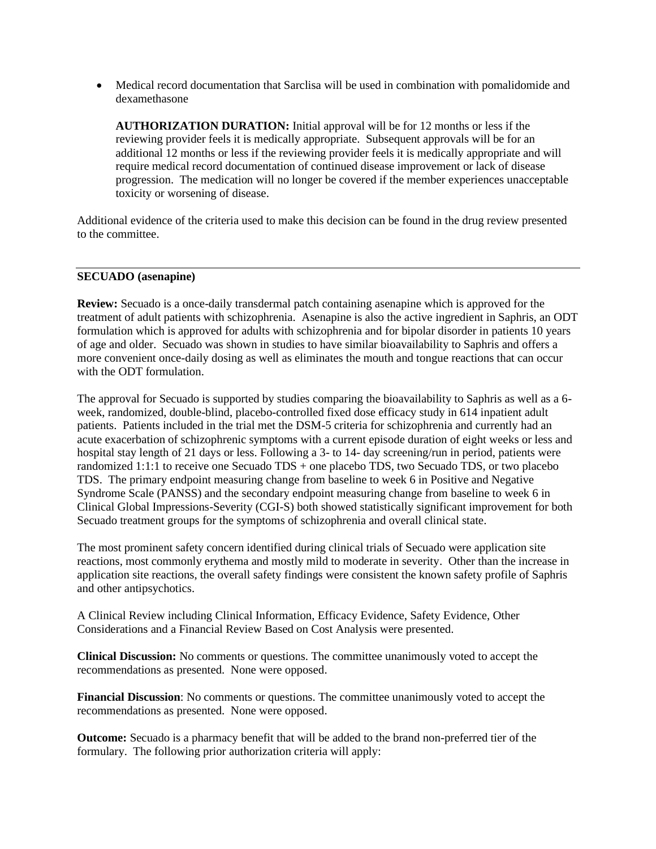• Medical record documentation that Sarclisa will be used in combination with pomalidomide and dexamethasone

**AUTHORIZATION DURATION:** Initial approval will be for 12 months or less if the reviewing provider feels it is medically appropriate. Subsequent approvals will be for an additional 12 months or less if the reviewing provider feels it is medically appropriate and will require medical record documentation of continued disease improvement or lack of disease progression. The medication will no longer be covered if the member experiences unacceptable toxicity or worsening of disease.

Additional evidence of the criteria used to make this decision can be found in the drug review presented to the committee.

#### **SECUADO (asenapine)**

**Review:** Secuado is a once-daily transdermal patch containing asenapine which is approved for the treatment of adult patients with schizophrenia. Asenapine is also the active ingredient in Saphris, an ODT formulation which is approved for adults with schizophrenia and for bipolar disorder in patients 10 years of age and older. Secuado was shown in studies to have similar bioavailability to Saphris and offers a more convenient once-daily dosing as well as eliminates the mouth and tongue reactions that can occur with the ODT formulation.

The approval for Secuado is supported by studies comparing the bioavailability to Saphris as well as a 6 week, randomized, double-blind, placebo-controlled fixed dose efficacy study in 614 inpatient adult patients. Patients included in the trial met the DSM-5 criteria for schizophrenia and currently had an acute exacerbation of schizophrenic symptoms with a current episode duration of eight weeks or less and hospital stay length of 21 days or less. Following a 3- to 14- day screening/run in period, patients were randomized 1:1:1 to receive one Secuado TDS + one placebo TDS, two Secuado TDS, or two placebo TDS. The primary endpoint measuring change from baseline to week 6 in Positive and Negative Syndrome Scale (PANSS) and the secondary endpoint measuring change from baseline to week 6 in Clinical Global Impressions-Severity (CGI-S) both showed statistically significant improvement for both Secuado treatment groups for the symptoms of schizophrenia and overall clinical state.

The most prominent safety concern identified during clinical trials of Secuado were application site reactions, most commonly erythema and mostly mild to moderate in severity. Other than the increase in application site reactions, the overall safety findings were consistent the known safety profile of Saphris and other antipsychotics.

A Clinical Review including Clinical Information, Efficacy Evidence, Safety Evidence, Other Considerations and a Financial Review Based on Cost Analysis were presented.

**Clinical Discussion:** No comments or questions. The committee unanimously voted to accept the recommendations as presented. None were opposed.

**Financial Discussion**: No comments or questions. The committee unanimously voted to accept the recommendations as presented. None were opposed.

**Outcome:** Secuado is a pharmacy benefit that will be added to the brand non-preferred tier of the formulary. The following prior authorization criteria will apply: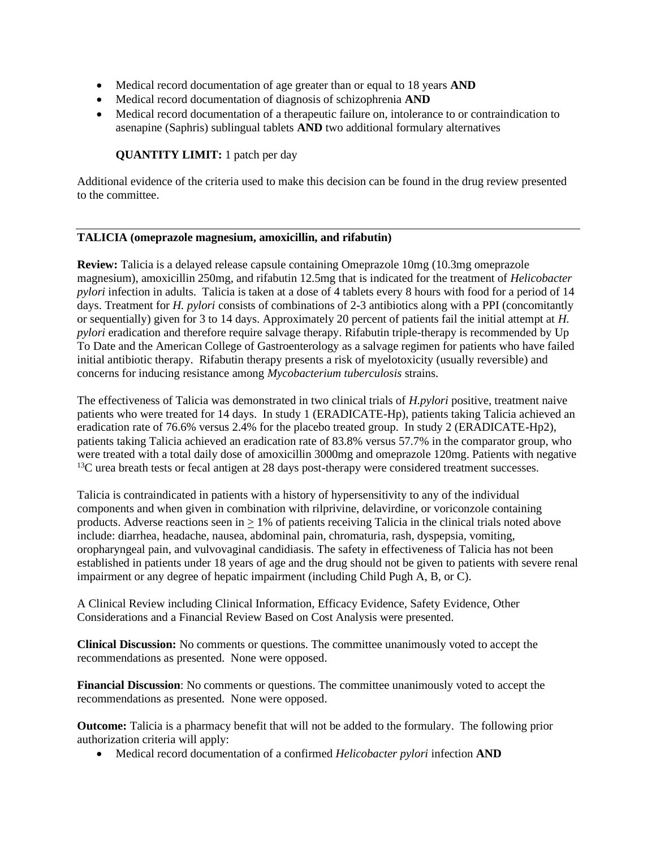- Medical record documentation of age greater than or equal to 18 years **AND**
- Medical record documentation of diagnosis of schizophrenia **AND**
- Medical record documentation of a therapeutic failure on, intolerance to or contraindication to asenapine (Saphris) sublingual tablets **AND** two additional formulary alternatives

# **QUANTITY LIMIT:** 1 patch per day

Additional evidence of the criteria used to make this decision can be found in the drug review presented to the committee.

# **TALICIA (omeprazole magnesium, amoxicillin, and rifabutin)**

**Review:** Talicia is a delayed release capsule containing Omeprazole 10mg (10.3mg omeprazole magnesium), amoxicillin 250mg, and rifabutin 12.5mg that is indicated for the treatment of *Helicobacter pylori* infection in adults. Talicia is taken at a dose of 4 tablets every 8 hours with food for a period of 14 days. Treatment for *H. pylori* consists of combinations of 2-3 antibiotics along with a PPI (concomitantly or sequentially) given for 3 to 14 days. Approximately 20 percent of patients fail the initial attempt at *H. pylori* eradication and therefore require salvage therapy. Rifabutin triple-therapy is recommended by Up To Date and the American College of Gastroenterology as a salvage regimen for patients who have failed initial antibiotic therapy. Rifabutin therapy presents a risk of myelotoxicity (usually reversible) and concerns for inducing resistance among *Mycobacterium tuberculosis* strains.

The effectiveness of Talicia was demonstrated in two clinical trials of *H.pylori* positive, treatment naive patients who were treated for 14 days. In study 1 (ERADICATE-Hp), patients taking Talicia achieved an eradication rate of 76.6% versus 2.4% for the placebo treated group. In study 2 (ERADICATE-Hp2), patients taking Talicia achieved an eradication rate of 83.8% versus 57.7% in the comparator group, who were treated with a total daily dose of amoxicillin 3000mg and omeprazole 120mg. Patients with negative <sup>13</sup>C urea breath tests or fecal antigen at 28 days post-therapy were considered treatment successes.

Talicia is contraindicated in patients with a history of hypersensitivity to any of the individual components and when given in combination with rilprivine, delavirdine, or voriconzole containing products. Adverse reactions seen in > 1% of patients receiving Talicia in the clinical trials noted above include: diarrhea, headache, nausea, abdominal pain, chromaturia, rash, dyspepsia, vomiting, oropharyngeal pain, and vulvovaginal candidiasis. The safety in effectiveness of Talicia has not been established in patients under 18 years of age and the drug should not be given to patients with severe renal impairment or any degree of hepatic impairment (including Child Pugh A, B, or C).

A Clinical Review including Clinical Information, Efficacy Evidence, Safety Evidence, Other Considerations and a Financial Review Based on Cost Analysis were presented.

**Clinical Discussion:** No comments or questions. The committee unanimously voted to accept the recommendations as presented. None were opposed.

**Financial Discussion**: No comments or questions. The committee unanimously voted to accept the recommendations as presented. None were opposed.

**Outcome:** Talicia is a pharmacy benefit that will not be added to the formulary. The following prior authorization criteria will apply:

• Medical record documentation of a confirmed *Helicobacter pylori* infection **AND**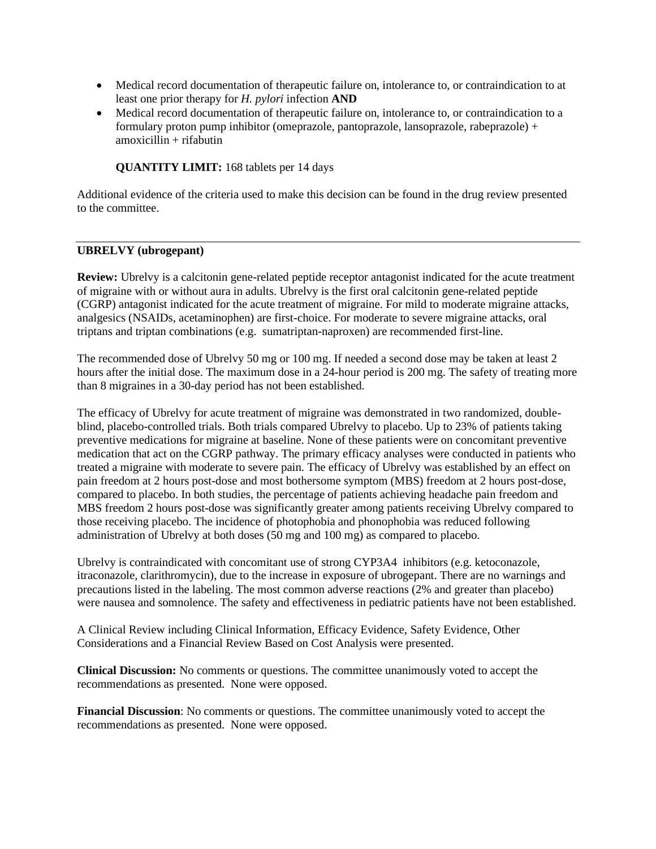- Medical record documentation of therapeutic failure on, intolerance to, or contraindication to at least one prior therapy for *H. pylori* infection **AND**
- Medical record documentation of therapeutic failure on, intolerance to, or contraindication to a formulary proton pump inhibitor (omeprazole, pantoprazole, lansoprazole, rabeprazole) +  $amoxicillin + rifabutin$

# **QUANTITY LIMIT:** 168 tablets per 14 days

Additional evidence of the criteria used to make this decision can be found in the drug review presented to the committee.

#### **UBRELVY (ubrogepant)**

**Review:** Ubrelvy is a calcitonin gene-related peptide receptor antagonist indicated for the acute treatment of migraine with or without aura in adults. Ubrelvy is the first oral calcitonin gene-related peptide (CGRP) antagonist indicated for the acute treatment of migraine. For mild to moderate migraine attacks, analgesics (NSAIDs, acetaminophen) are first-choice. For moderate to severe migraine attacks, oral triptans and triptan combinations (e.g. sumatriptan-naproxen) are recommended first-line.

The recommended dose of Ubrelvy 50 mg or 100 mg. If needed a second dose may be taken at least 2 hours after the initial dose. The maximum dose in a 24-hour period is 200 mg. The safety of treating more than 8 migraines in a 30-day period has not been established.

The efficacy of Ubrelvy for acute treatment of migraine was demonstrated in two randomized, doubleblind, placebo-controlled trials. Both trials compared Ubrelvy to placebo. Up to 23% of patients taking preventive medications for migraine at baseline. None of these patients were on concomitant preventive medication that act on the CGRP pathway. The primary efficacy analyses were conducted in patients who treated a migraine with moderate to severe pain. The efficacy of Ubrelvy was established by an effect on pain freedom at 2 hours post-dose and most bothersome symptom (MBS) freedom at 2 hours post-dose, compared to placebo. In both studies, the percentage of patients achieving headache pain freedom and MBS freedom 2 hours post-dose was significantly greater among patients receiving Ubrelvy compared to those receiving placebo. The incidence of photophobia and phonophobia was reduced following administration of Ubrelvy at both doses (50 mg and 100 mg) as compared to placebo.

Ubrelvy is contraindicated with concomitant use of strong CYP3A4 inhibitors (e.g. ketoconazole, itraconazole, clarithromycin), due to the increase in exposure of ubrogepant. There are no warnings and precautions listed in the labeling. The most common adverse reactions (2% and greater than placebo) were nausea and somnolence. The safety and effectiveness in pediatric patients have not been established.

A Clinical Review including Clinical Information, Efficacy Evidence, Safety Evidence, Other Considerations and a Financial Review Based on Cost Analysis were presented.

**Clinical Discussion:** No comments or questions. The committee unanimously voted to accept the recommendations as presented. None were opposed.

**Financial Discussion**: No comments or questions. The committee unanimously voted to accept the recommendations as presented. None were opposed.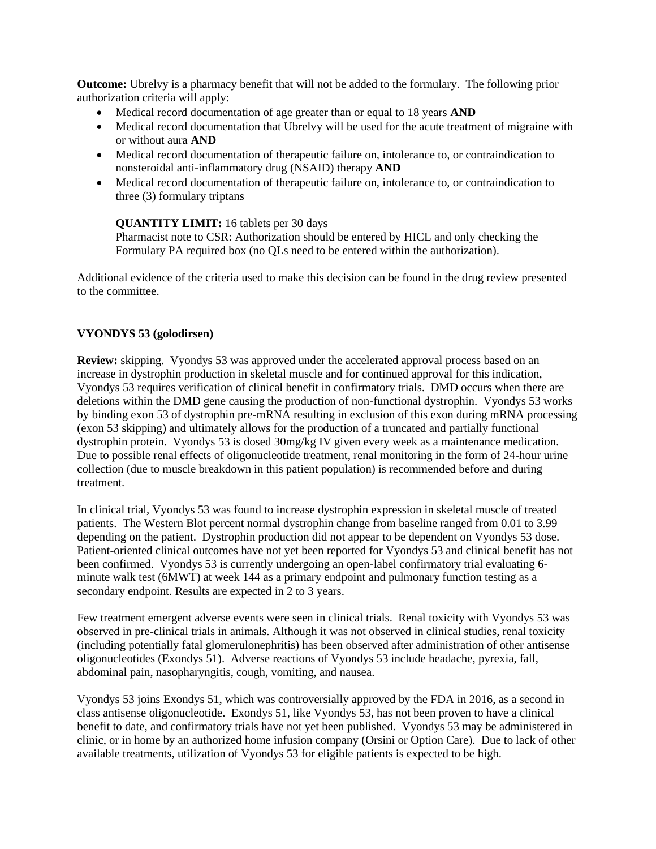**Outcome:** Ubrelvy is a pharmacy benefit that will not be added to the formulary. The following prior authorization criteria will apply:

- Medical record documentation of age greater than or equal to 18 years **AND**
- Medical record documentation that Ubrelvy will be used for the acute treatment of migraine with or without aura **AND**
- Medical record documentation of therapeutic failure on, intolerance to, or contraindication to nonsteroidal anti-inflammatory drug (NSAID) therapy **AND**
- Medical record documentation of therapeutic failure on, intolerance to, or contraindication to three (3) formulary triptans

# **QUANTITY LIMIT:** 16 tablets per 30 days

Pharmacist note to CSR: Authorization should be entered by HICL and only checking the Formulary PA required box (no QLs need to be entered within the authorization).

Additional evidence of the criteria used to make this decision can be found in the drug review presented to the committee.

# **VYONDYS 53 (golodirsen)**

**Review:** skipping. Vyondys 53 was approved under the accelerated approval process based on an increase in dystrophin production in skeletal muscle and for continued approval for this indication, Vyondys 53 requires verification of clinical benefit in confirmatory trials. DMD occurs when there are deletions within the DMD gene causing the production of non-functional dystrophin. Vyondys 53 works by binding exon 53 of dystrophin pre-mRNA resulting in exclusion of this exon during mRNA processing (exon 53 skipping) and ultimately allows for the production of a truncated and partially functional dystrophin protein. Vyondys 53 is dosed 30mg/kg IV given every week as a maintenance medication. Due to possible renal effects of oligonucleotide treatment, renal monitoring in the form of 24-hour urine collection (due to muscle breakdown in this patient population) is recommended before and during treatment.

In clinical trial, Vyondys 53 was found to increase dystrophin expression in skeletal muscle of treated patients. The Western Blot percent normal dystrophin change from baseline ranged from 0.01 to 3.99 depending on the patient. Dystrophin production did not appear to be dependent on Vyondys 53 dose. Patient-oriented clinical outcomes have not yet been reported for Vyondys 53 and clinical benefit has not been confirmed. Vyondys 53 is currently undergoing an open-label confirmatory trial evaluating 6 minute walk test (6MWT) at week 144 as a primary endpoint and pulmonary function testing as a secondary endpoint. Results are expected in 2 to 3 years.

Few treatment emergent adverse events were seen in clinical trials. Renal toxicity with Vyondys 53 was observed in pre-clinical trials in animals. Although it was not observed in clinical studies, renal toxicity (including potentially fatal glomerulonephritis) has been observed after administration of other antisense oligonucleotides (Exondys 51). Adverse reactions of Vyondys 53 include headache, pyrexia, fall, abdominal pain, nasopharyngitis, cough, vomiting, and nausea.

Vyondys 53 joins Exondys 51, which was controversially approved by the FDA in 2016, as a second in class antisense oligonucleotide. Exondys 51, like Vyondys 53, has not been proven to have a clinical benefit to date, and confirmatory trials have not yet been published. Vyondys 53 may be administered in clinic, or in home by an authorized home infusion company (Orsini or Option Care). Due to lack of other available treatments, utilization of Vyondys 53 for eligible patients is expected to be high.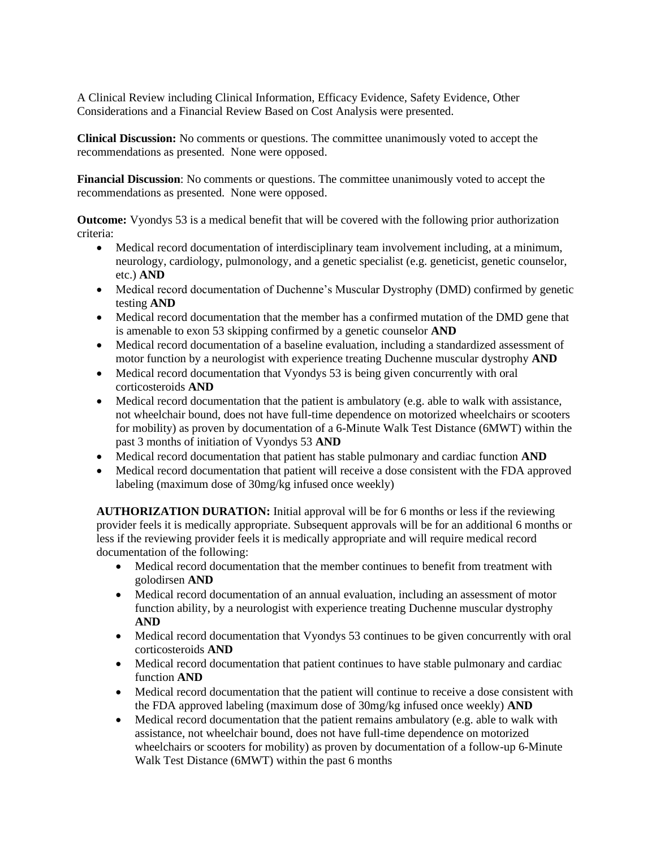A Clinical Review including Clinical Information, Efficacy Evidence, Safety Evidence, Other Considerations and a Financial Review Based on Cost Analysis were presented.

**Clinical Discussion:** No comments or questions. The committee unanimously voted to accept the recommendations as presented. None were opposed.

**Financial Discussion**: No comments or questions. The committee unanimously voted to accept the recommendations as presented. None were opposed.

**Outcome:** Vyondys 53 is a medical benefit that will be covered with the following prior authorization criteria:

- Medical record documentation of interdisciplinary team involvement including, at a minimum, neurology, cardiology, pulmonology, and a genetic specialist (e.g. geneticist, genetic counselor, etc.) **AND**
- Medical record documentation of Duchenne's Muscular Dystrophy (DMD) confirmed by genetic testing **AND**
- Medical record documentation that the member has a confirmed mutation of the DMD gene that is amenable to exon 53 skipping confirmed by a genetic counselor **AND**
- Medical record documentation of a baseline evaluation, including a standardized assessment of motor function by a neurologist with experience treating Duchenne muscular dystrophy **AND**
- Medical record documentation that Vyondys 53 is being given concurrently with oral corticosteroids **AND**
- Medical record documentation that the patient is ambulatory (e.g. able to walk with assistance, not wheelchair bound, does not have full-time dependence on motorized wheelchairs or scooters for mobility) as proven by documentation of a 6-Minute Walk Test Distance (6MWT) within the past 3 months of initiation of Vyondys 53 **AND**
- Medical record documentation that patient has stable pulmonary and cardiac function **AND**
- Medical record documentation that patient will receive a dose consistent with the FDA approved labeling (maximum dose of 30mg/kg infused once weekly)

**AUTHORIZATION DURATION:** Initial approval will be for 6 months or less if the reviewing provider feels it is medically appropriate. Subsequent approvals will be for an additional 6 months or less if the reviewing provider feels it is medically appropriate and will require medical record documentation of the following:

- Medical record documentation that the member continues to benefit from treatment with golodirsen **AND**
- Medical record documentation of an annual evaluation, including an assessment of motor function ability, by a neurologist with experience treating Duchenne muscular dystrophy **AND**
- Medical record documentation that Vyondys 53 continues to be given concurrently with oral corticosteroids **AND**
- Medical record documentation that patient continues to have stable pulmonary and cardiac function **AND**
- Medical record documentation that the patient will continue to receive a dose consistent with the FDA approved labeling (maximum dose of 30mg/kg infused once weekly) **AND**
- Medical record documentation that the patient remains ambulatory (e.g. able to walk with assistance, not wheelchair bound, does not have full-time dependence on motorized wheelchairs or scooters for mobility) as proven by documentation of a follow-up 6-Minute Walk Test Distance (6MWT) within the past 6 months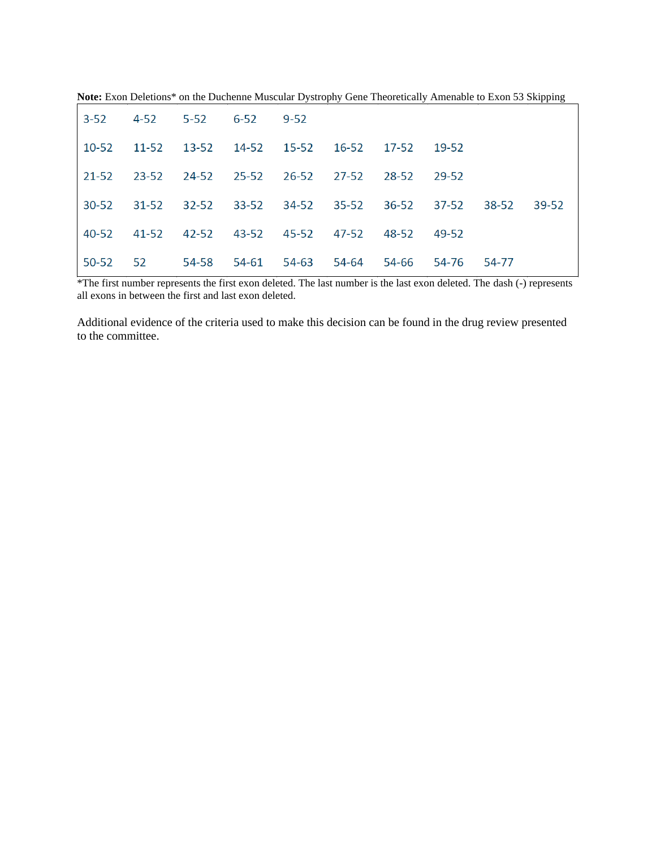|       | $3-52$ $4-52$ $5-52$ $6-52$ $9-52$                              |  |  |  |       |  |
|-------|-----------------------------------------------------------------|--|--|--|-------|--|
|       | 10-52 11-52 13-52 14-52 15-52 16-52 17-52 19-52                 |  |  |  |       |  |
|       | $21-52$ $23-52$ $24-52$ $25-52$ $26-52$ $27-52$ $28-52$ $29-52$ |  |  |  |       |  |
|       | 30-52 31-52 32-52 33-52 34-52 35-52 36-52 37-52 38-52           |  |  |  | 39-52 |  |
|       | 40-52 41-52 42-52 43-52 45-52 47-52 48-52 49-52                 |  |  |  |       |  |
| 50-52 | 52   54-58   54-61   54-63   54-64   54-66   54-76   54-77      |  |  |  |       |  |

**Note:** Exon Deletions\* on the Duchenne Muscular Dystrophy Gene Theoretically Amenable to Exon 53 Skipping

\*The first number represents the first exon deleted. The last number is the last exon deleted. The dash (-) represents all exons in between the first and last exon deleted.

Additional evidence of the criteria used to make this decision can be found in the drug review presented to the committee.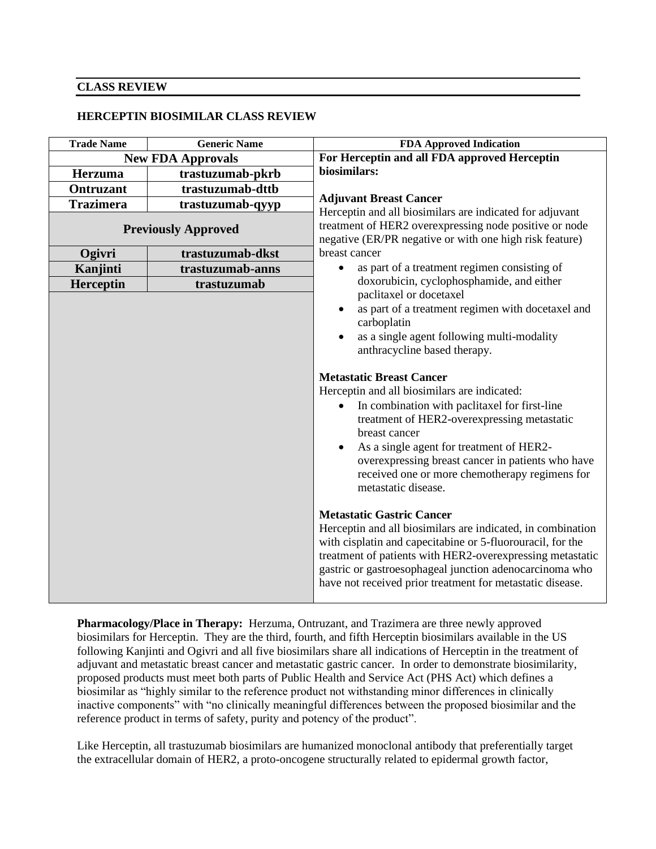#### **CLASS REVIEW**

#### **HERCEPTIN BIOSIMILAR CLASS REVIEW**

| For Herceptin and all FDA approved Herceptin                                                                                                                                                                                                                                                                                                                                                                                                                                                                                                                                                                                                                         |
|----------------------------------------------------------------------------------------------------------------------------------------------------------------------------------------------------------------------------------------------------------------------------------------------------------------------------------------------------------------------------------------------------------------------------------------------------------------------------------------------------------------------------------------------------------------------------------------------------------------------------------------------------------------------|
|                                                                                                                                                                                                                                                                                                                                                                                                                                                                                                                                                                                                                                                                      |
|                                                                                                                                                                                                                                                                                                                                                                                                                                                                                                                                                                                                                                                                      |
|                                                                                                                                                                                                                                                                                                                                                                                                                                                                                                                                                                                                                                                                      |
|                                                                                                                                                                                                                                                                                                                                                                                                                                                                                                                                                                                                                                                                      |
| Herceptin and all biosimilars are indicated for adjuvant<br>treatment of HER2 overexpressing node positive or node<br>negative (ER/PR negative or with one high risk feature)                                                                                                                                                                                                                                                                                                                                                                                                                                                                                        |
|                                                                                                                                                                                                                                                                                                                                                                                                                                                                                                                                                                                                                                                                      |
| as part of a treatment regimen consisting of                                                                                                                                                                                                                                                                                                                                                                                                                                                                                                                                                                                                                         |
| doxorubicin, cyclophosphamide, and either                                                                                                                                                                                                                                                                                                                                                                                                                                                                                                                                                                                                                            |
| as part of a treatment regimen with docetaxel and<br>as a single agent following multi-modality<br>In combination with paclitaxel for first-line<br>treatment of HER2-overexpressing metastatic<br>As a single agent for treatment of HER2-<br>overexpressing breast cancer in patients who have<br>received one or more chemotherapy regimens for<br>Herceptin and all biosimilars are indicated, in combination<br>with cisplatin and capecitabine or 5-fluorouracil, for the<br>treatment of patients with HER2-overexpressing metastatic<br>gastric or gastroesophageal junction adenocarcinoma who<br>have not received prior treatment for metastatic disease. |
|                                                                                                                                                                                                                                                                                                                                                                                                                                                                                                                                                                                                                                                                      |

**Pharmacology/Place in Therapy:** Herzuma, Ontruzant, and Trazimera are three newly approved biosimilars for Herceptin. They are the third, fourth, and fifth Herceptin biosimilars available in the US following Kanjinti and Ogivri and all five biosimilars share all indications of Herceptin in the treatment of adjuvant and metastatic breast cancer and metastatic gastric cancer. In order to demonstrate biosimilarity, proposed products must meet both parts of Public Health and Service Act (PHS Act) which defines a biosimilar as "highly similar to the reference product not withstanding minor differences in clinically inactive components" with "no clinically meaningful differences between the proposed biosimilar and the reference product in terms of safety, purity and potency of the product".

Like Herceptin, all trastuzumab biosimilars are humanized monoclonal antibody that preferentially target the extracellular domain of HER2, a proto-oncogene structurally related to epidermal growth factor,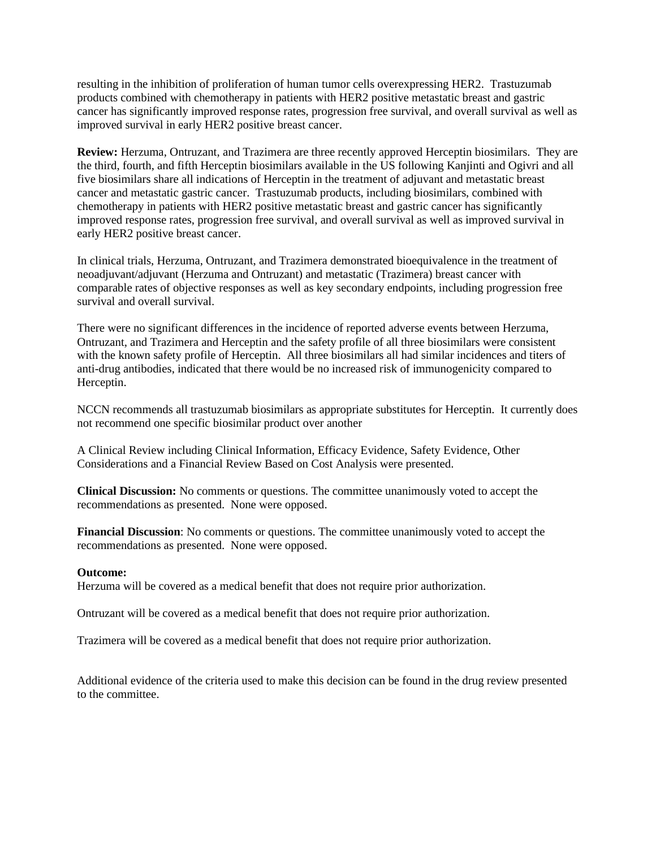resulting in the inhibition of proliferation of human tumor cells overexpressing HER2. Trastuzumab products combined with chemotherapy in patients with HER2 positive metastatic breast and gastric cancer has significantly improved response rates, progression free survival, and overall survival as well as improved survival in early HER2 positive breast cancer.

**Review:** Herzuma, Ontruzant, and Trazimera are three recently approved Herceptin biosimilars. They are the third, fourth, and fifth Herceptin biosimilars available in the US following Kanjinti and Ogivri and all five biosimilars share all indications of Herceptin in the treatment of adjuvant and metastatic breast cancer and metastatic gastric cancer. Trastuzumab products, including biosimilars, combined with chemotherapy in patients with HER2 positive metastatic breast and gastric cancer has significantly improved response rates, progression free survival, and overall survival as well as improved survival in early HER2 positive breast cancer.

In clinical trials, Herzuma, Ontruzant, and Trazimera demonstrated bioequivalence in the treatment of neoadjuvant/adjuvant (Herzuma and Ontruzant) and metastatic (Trazimera) breast cancer with comparable rates of objective responses as well as key secondary endpoints, including progression free survival and overall survival.

There were no significant differences in the incidence of reported adverse events between Herzuma, Ontruzant, and Trazimera and Herceptin and the safety profile of all three biosimilars were consistent with the known safety profile of Herceptin. All three biosimilars all had similar incidences and titers of anti-drug antibodies, indicated that there would be no increased risk of immunogenicity compared to Herceptin.

NCCN recommends all trastuzumab biosimilars as appropriate substitutes for Herceptin. It currently does not recommend one specific biosimilar product over another

A Clinical Review including Clinical Information, Efficacy Evidence, Safety Evidence, Other Considerations and a Financial Review Based on Cost Analysis were presented.

**Clinical Discussion:** No comments or questions. The committee unanimously voted to accept the recommendations as presented. None were opposed.

**Financial Discussion**: No comments or questions. The committee unanimously voted to accept the recommendations as presented. None were opposed.

#### **Outcome:**

Herzuma will be covered as a medical benefit that does not require prior authorization.

Ontruzant will be covered as a medical benefit that does not require prior authorization.

Trazimera will be covered as a medical benefit that does not require prior authorization.

Additional evidence of the criteria used to make this decision can be found in the drug review presented to the committee.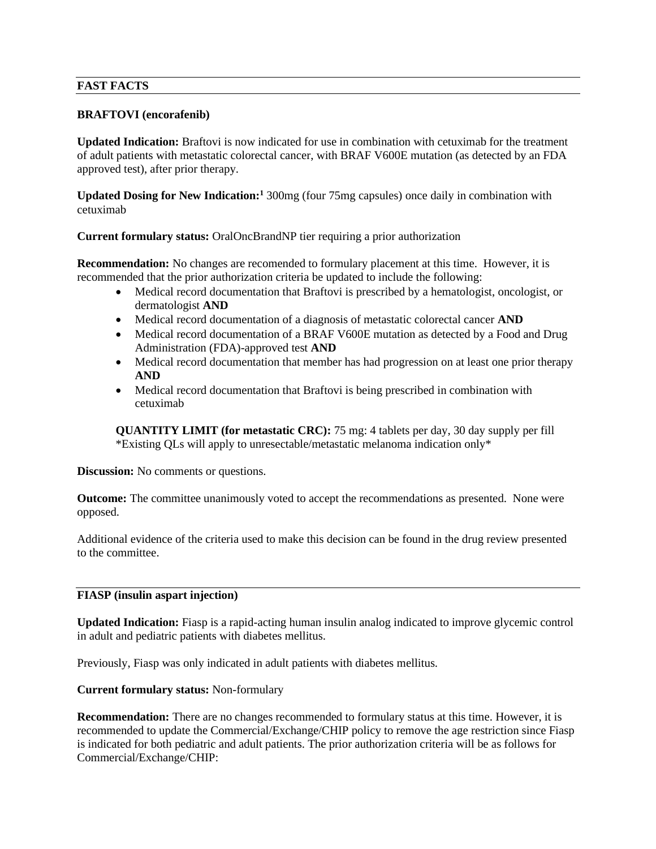# **FAST FACTS**

# **BRAFTOVI (encorafenib)**

**Updated Indication:** Braftovi is now indicated for use in combination with cetuximab for the treatment of adult patients with metastatic colorectal cancer, with BRAF V600E mutation (as detected by an FDA approved test), after prior therapy.

**Updated Dosing for New Indication:<sup>1</sup>** 300mg (four 75mg capsules) once daily in combination with cetuximab

**Current formulary status:** OralOncBrandNP tier requiring a prior authorization

**Recommendation:** No changes are recomended to formulary placement at this time. However, it is recommended that the prior authorization criteria be updated to include the following:

- Medical record documentation that Braftovi is prescribed by a hematologist, oncologist, or dermatologist **AND**
- Medical record documentation of a diagnosis of metastatic colorectal cancer **AND**
- Medical record documentation of a BRAF V600E mutation as detected by a Food and Drug Administration (FDA)-approved test **AND**
- Medical record documentation that member has had progression on at least one prior therapy **AND**
- Medical record documentation that Braftovi is being prescribed in combination with cetuximab

**QUANTITY LIMIT (for metastatic CRC):** 75 mg: 4 tablets per day, 30 day supply per fill \*Existing QLs will apply to unresectable/metastatic melanoma indication only\*

**Discussion:** No comments or questions.

**Outcome:** The committee unanimously voted to accept the recommendations as presented. None were opposed.

Additional evidence of the criteria used to make this decision can be found in the drug review presented to the committee.

#### **FIASP (insulin aspart injection)**

**Updated Indication:** Fiasp is a rapid-acting human insulin analog indicated to improve glycemic control in adult and pediatric patients with diabetes mellitus.

Previously, Fiasp was only indicated in adult patients with diabetes mellitus.

**Current formulary status:** Non-formulary

**Recommendation:** There are no changes recommended to formulary status at this time. However, it is recommended to update the Commercial/Exchange/CHIP policy to remove the age restriction since Fiasp is indicated for both pediatric and adult patients. The prior authorization criteria will be as follows for Commercial/Exchange/CHIP: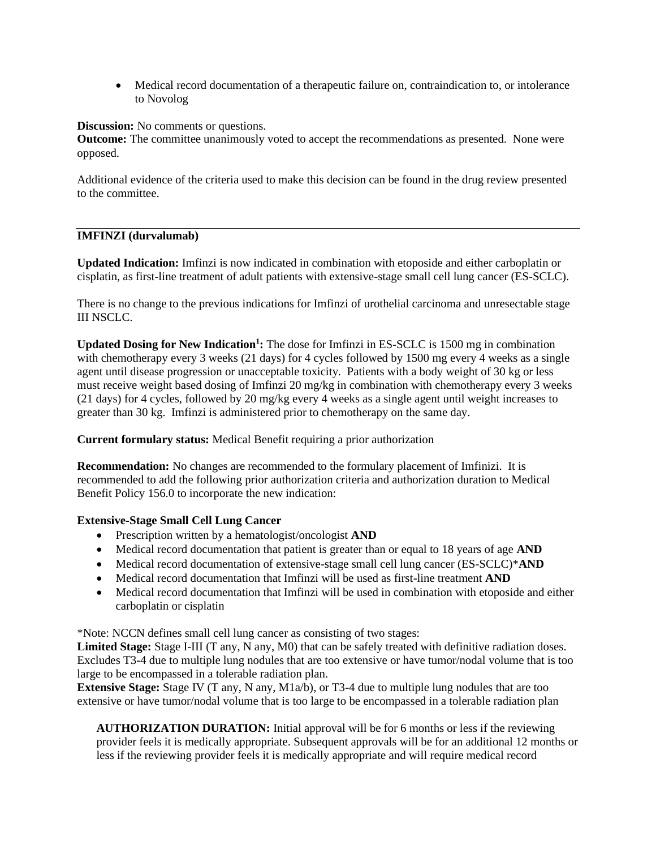• Medical record documentation of a therapeutic failure on, contraindication to, or intolerance to Novolog

**Discussion:** No comments or questions.

**Outcome:** The committee unanimously voted to accept the recommendations as presented. None were opposed.

Additional evidence of the criteria used to make this decision can be found in the drug review presented to the committee.

# **IMFINZI (durvalumab)**

**Updated Indication:** Imfinzi is now indicated in combination with etoposide and either carboplatin or cisplatin, as first-line treatment of adult patients with extensive-stage small cell lung cancer (ES-SCLC).

There is no change to the previous indications for Imfinzi of urothelial carcinoma and unresectable stage III NSCLC.

**Updated Dosing for New Indication<sup>1</sup> :** The dose for Imfinzi in ES-SCLC is 1500 mg in combination with chemotherapy every 3 weeks (21 days) for 4 cycles followed by 1500 mg every 4 weeks as a single agent until disease progression or unacceptable toxicity. Patients with a body weight of 30 kg or less must receive weight based dosing of Imfinzi 20 mg/kg in combination with chemotherapy every 3 weeks (21 days) for 4 cycles, followed by 20 mg/kg every 4 weeks as a single agent until weight increases to greater than 30 kg. Imfinzi is administered prior to chemotherapy on the same day.

**Current formulary status:** Medical Benefit requiring a prior authorization

**Recommendation:** No changes are recommended to the formulary placement of Imfinizi. It is recommended to add the following prior authorization criteria and authorization duration to Medical Benefit Policy 156.0 to incorporate the new indication:

# **Extensive-Stage Small Cell Lung Cancer**

- Prescription written by a hematologist/oncologist **AND**
- Medical record documentation that patient is greater than or equal to 18 years of age **AND**
- Medical record documentation of extensive-stage small cell lung cancer (ES-SCLC)\***AND**
- Medical record documentation that Imfinzi will be used as first-line treatment **AND**
- Medical record documentation that Imfinzi will be used in combination with etoposide and either carboplatin or cisplatin

\*Note: NCCN defines small cell lung cancer as consisting of two stages:

Limited Stage: Stage I-III (T any, N any, M0) that can be safely treated with definitive radiation doses. Excludes T3-4 due to multiple lung nodules that are too extensive or have tumor/nodal volume that is too large to be encompassed in a tolerable radiation plan.

**Extensive Stage:** Stage IV (T any, N any, M1a/b), or T3-4 due to multiple lung nodules that are too extensive or have tumor/nodal volume that is too large to be encompassed in a tolerable radiation plan

**AUTHORIZATION DURATION:** Initial approval will be for 6 months or less if the reviewing provider feels it is medically appropriate. Subsequent approvals will be for an additional 12 months or less if the reviewing provider feels it is medically appropriate and will require medical record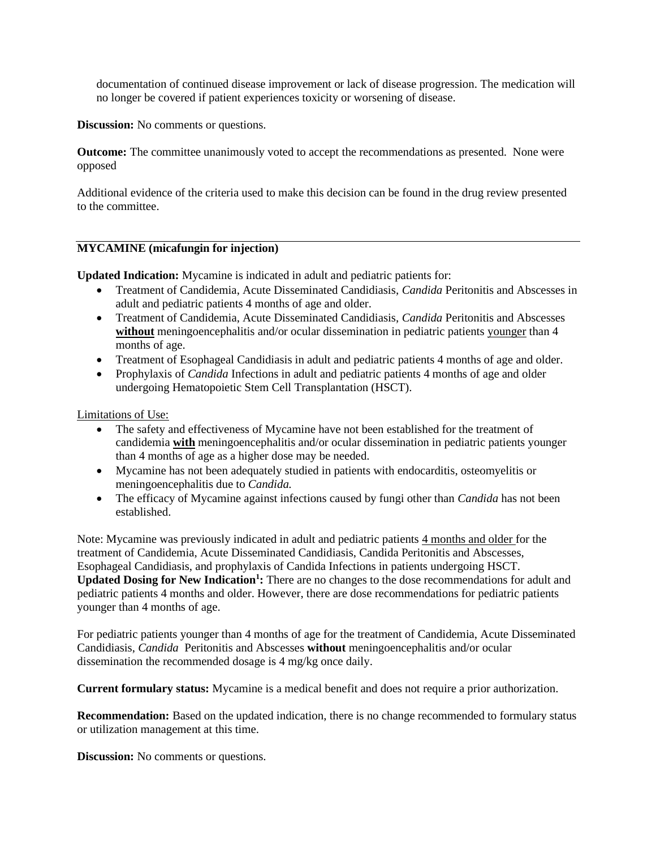documentation of continued disease improvement or lack of disease progression. The medication will no longer be covered if patient experiences toxicity or worsening of disease.

**Discussion:** No comments or questions.

**Outcome:** The committee unanimously voted to accept the recommendations as presented. None were opposed

Additional evidence of the criteria used to make this decision can be found in the drug review presented to the committee.

#### **MYCAMINE (micafungin for injection)**

**Updated Indication:** Mycamine is indicated in adult and pediatric patients for:

- Treatment of Candidemia, Acute Disseminated Candidiasis, *Candida* Peritonitis and Abscesses in adult and pediatric patients 4 months of age and older.
- Treatment of Candidemia, Acute Disseminated Candidiasis, *Candida* Peritonitis and Abscesses **without** meningoencephalitis and/or ocular dissemination in pediatric patients younger than 4 months of age.
- Treatment of Esophageal Candidiasis in adult and pediatric patients 4 months of age and older.
- Prophylaxis of *Candida* Infections in adult and pediatric patients 4 months of age and older undergoing Hematopoietic Stem Cell Transplantation (HSCT).

Limitations of Use:

- The safety and effectiveness of Mycamine have not been established for the treatment of candidemia **with** meningoencephalitis and/or ocular dissemination in pediatric patients younger than 4 months of age as a higher dose may be needed.
- Mycamine has not been adequately studied in patients with endocarditis, osteomyelitis or meningoencephalitis due to *Candida.*
- The efficacy of Mycamine against infections caused by fungi other than *Candida* has not been established.

Note: Mycamine was previously indicated in adult and pediatric patients 4 months and older for the treatment of Candidemia, Acute Disseminated Candidiasis, Candida Peritonitis and Abscesses, Esophageal Candidiasis, and prophylaxis of Candida Infections in patients undergoing HSCT. **Updated Dosing for New Indication<sup>1</sup> :** There are no changes to the dose recommendations for adult and pediatric patients 4 months and older. However, there are dose recommendations for pediatric patients younger than 4 months of age.

For pediatric patients younger than 4 months of age for the treatment of Candidemia, Acute Disseminated Candidiasis, *Candida* Peritonitis and Abscesses **without** meningoencephalitis and/or ocular dissemination the recommended dosage is 4 mg/kg once daily.

**Current formulary status:** Mycamine is a medical benefit and does not require a prior authorization.

**Recommendation:** Based on the updated indication, there is no change recommended to formulary status or utilization management at this time.

**Discussion:** No comments or questions.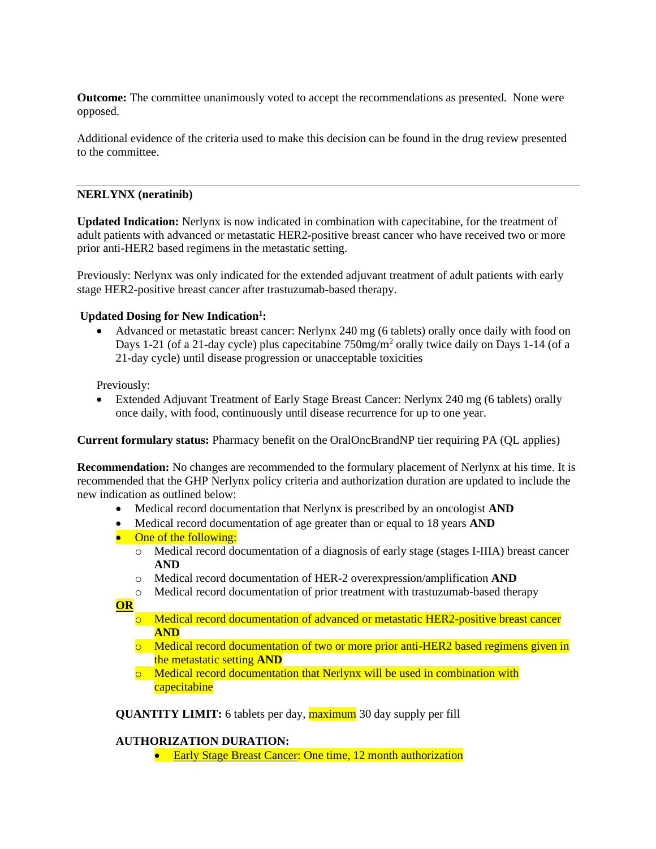**Outcome:** The committee unanimously voted to accept the recommendations as presented. None were opposed.

Additional evidence of the criteria used to make this decision can be found in the drug review presented to the committee.

# **NERLYNX (neratinib)**

**Updated Indication:** Nerlynx is now indicated in combination with capecitabine, for the treatment of adult patients with advanced or metastatic HER2-positive breast cancer who have received two or more prior anti-HER2 based regimens in the metastatic setting.

Previously: Nerlynx was only indicated for the extended adjuvant treatment of adult patients with early stage HER2-positive breast cancer after trastuzumab-based therapy.

# **Updated Dosing for New Indication<sup>1</sup> :**

• Advanced or metastatic breast cancer: Nerlynx 240 mg (6 tablets) orally once daily with food on Days 1-21 (of a 21-day cycle) plus capecitabine 750mg/m<sup>2</sup> orally twice daily on Days 1-14 (of a 21-day cycle) until disease progression or unacceptable toxicities

Previously:

• Extended Adjuvant Treatment of Early Stage Breast Cancer: Nerlynx 240 mg (6 tablets) orally once daily, with food, continuously until disease recurrence for up to one year.

**Current formulary status:** Pharmacy benefit on the OralOncBrandNP tier requiring PA (QL applies)

**Recommendation:** No changes are recommended to the formulary placement of Nerlynx at his time. It is recommended that the GHP Nerlynx policy criteria and authorization duration are updated to include the new indication as outlined below:

- Medical record documentation that Nerlynx is prescribed by an oncologist **AND**
- Medical record documentation of age greater than or equal to 18 years **AND**
- One of the following:
	- o Medical record documentation of a diagnosis of early stage (stages I-IIIA) breast cancer **AND**
	- o Medical record documentation of HER-2 overexpression/amplification **AND**
	- o Medical record documentation of prior treatment with trastuzumab-based therapy
- **OR**
	- o Medical record documentation of advanced or metastatic HER2-positive breast cancer **AND**
	- $\circ$  Medical record documentation of two or more prior anti-HER2 based regimens given in the metastatic setting **AND**
	- o Medical record documentation that Nerlynx will be used in combination with capecitabine

**QUANTITY LIMIT:** 6 tablets per day, **maximum** 30 day supply per fill

#### **AUTHORIZATION DURATION:**

• Early Stage Breast Cancer: One time, 12 month authorization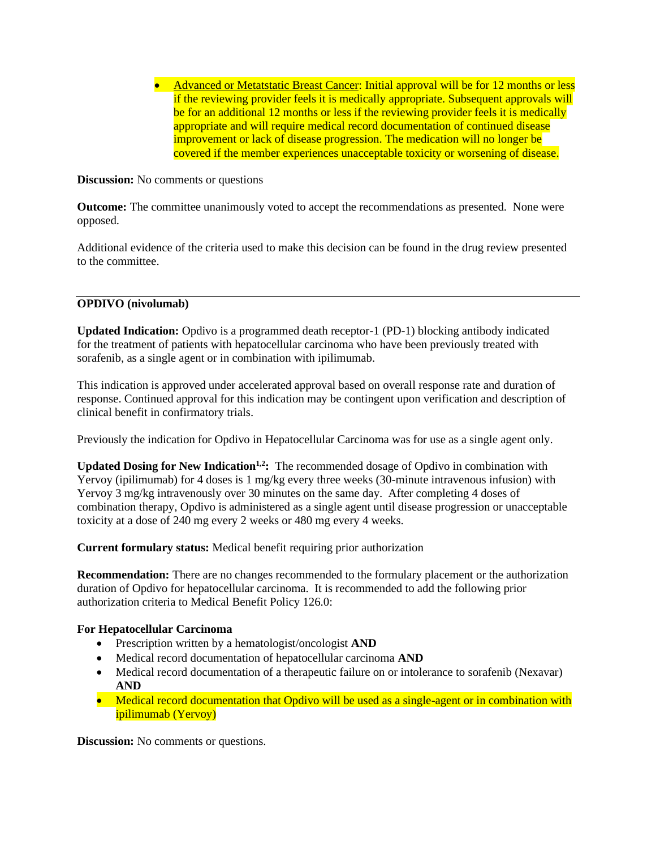• Advanced or Metatstatic Breast Cancer: Initial approval will be for 12 months or less if the reviewing provider feels it is medically appropriate. Subsequent approvals will be for an additional 12 months or less if the reviewing provider feels it is medically appropriate and will require medical record documentation of continued disease improvement or lack of disease progression. The medication will no longer be covered if the member experiences unacceptable toxicity or worsening of disease.

**Discussion:** No comments or questions

**Outcome:** The committee unanimously voted to accept the recommendations as presented. None were opposed.

Additional evidence of the criteria used to make this decision can be found in the drug review presented to the committee.

# **OPDIVO (nivolumab)**

**Updated Indication:** Opdivo is a programmed death receptor-1 (PD-1) blocking antibody indicated for the treatment of patients with hepatocellular carcinoma who have been previously treated with sorafenib, as a single agent or in combination with ipilimumab.

This indication is approved under accelerated approval based on overall response rate and duration of response. Continued approval for this indication may be contingent upon verification and description of clinical benefit in confirmatory trials.

Previously the indication for Opdivo in Hepatocellular Carcinoma was for use as a single agent only.

**Updated Dosing for New Indication1,2:** The recommended dosage of Opdivo in combination with Yervoy (ipilimumab) for 4 doses is 1 mg/kg every three weeks (30-minute intravenous infusion) with Yervoy 3 mg/kg intravenously over 30 minutes on the same day. After completing 4 doses of combination therapy, Opdivo is administered as a single agent until disease progression or unacceptable toxicity at a dose of 240 mg every 2 weeks or 480 mg every 4 weeks.

**Current formulary status:** Medical benefit requiring prior authorization

**Recommendation:** There are no changes recommended to the formulary placement or the authorization duration of Opdivo for hepatocellular carcinoma. It is recommended to add the following prior authorization criteria to Medical Benefit Policy 126.0:

# **For Hepatocellular Carcinoma**

- Prescription written by a hematologist/oncologist **AND**
- Medical record documentation of hepatocellular carcinoma **AND**
- Medical record documentation of a therapeutic failure on or intolerance to sorafenib (Nexavar) **AND**
- Medical record documentation that Opdivo will be used as a single-agent or in combination with ipilimumab (Yervoy)

**Discussion:** No comments or questions.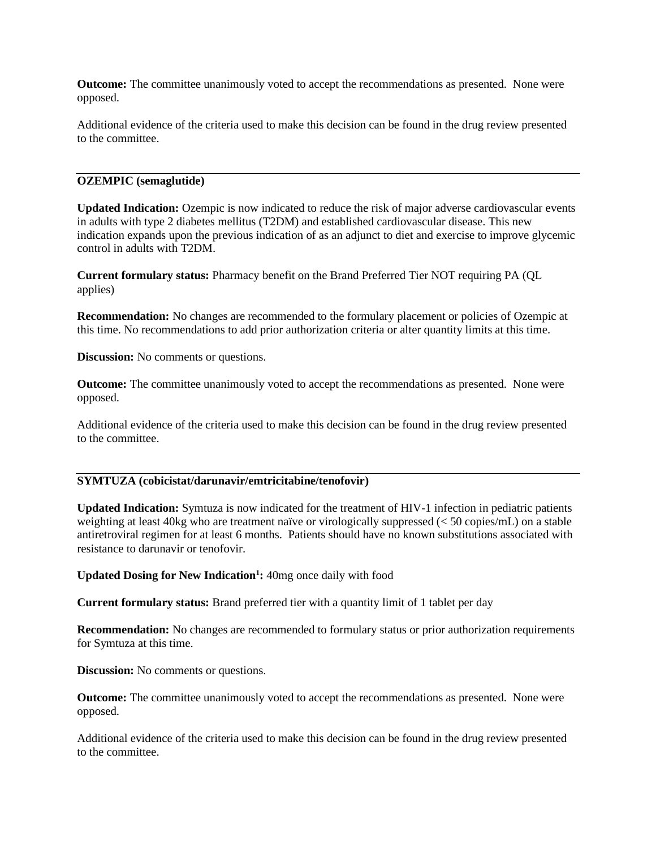**Outcome:** The committee unanimously voted to accept the recommendations as presented. None were opposed.

Additional evidence of the criteria used to make this decision can be found in the drug review presented to the committee.

#### **OZEMPIC (semaglutide)**

**Updated Indication:** Ozempic is now indicated to reduce the risk of major adverse cardiovascular events in adults with type 2 diabetes mellitus (T2DM) and established cardiovascular disease. This new indication expands upon the previous indication of as an adjunct to diet and exercise to improve glycemic control in adults with T2DM.

**Current formulary status:** Pharmacy benefit on the Brand Preferred Tier NOT requiring PA (QL applies)

**Recommendation:** No changes are recommended to the formulary placement or policies of Ozempic at this time. No recommendations to add prior authorization criteria or alter quantity limits at this time.

**Discussion:** No comments or questions.

**Outcome:** The committee unanimously voted to accept the recommendations as presented. None were opposed.

Additional evidence of the criteria used to make this decision can be found in the drug review presented to the committee.

# **SYMTUZA (cobicistat/darunavir/emtricitabine/tenofovir)**

**Updated Indication:** Symtuza is now indicated for the treatment of HIV-1 infection in pediatric patients weighting at least 40kg who are treatment naïve or virologically suppressed (< 50 copies/mL) on a stable antiretroviral regimen for at least 6 months. Patients should have no known substitutions associated with resistance to darunavir or tenofovir.

**Updated Dosing for New Indication<sup>1</sup> :** 40mg once daily with food

**Current formulary status:** Brand preferred tier with a quantity limit of 1 tablet per day

**Recommendation:** No changes are recommended to formulary status or prior authorization requirements for Symtuza at this time.

**Discussion:** No comments or questions.

**Outcome:** The committee unanimously voted to accept the recommendations as presented. None were opposed.

Additional evidence of the criteria used to make this decision can be found in the drug review presented to the committee.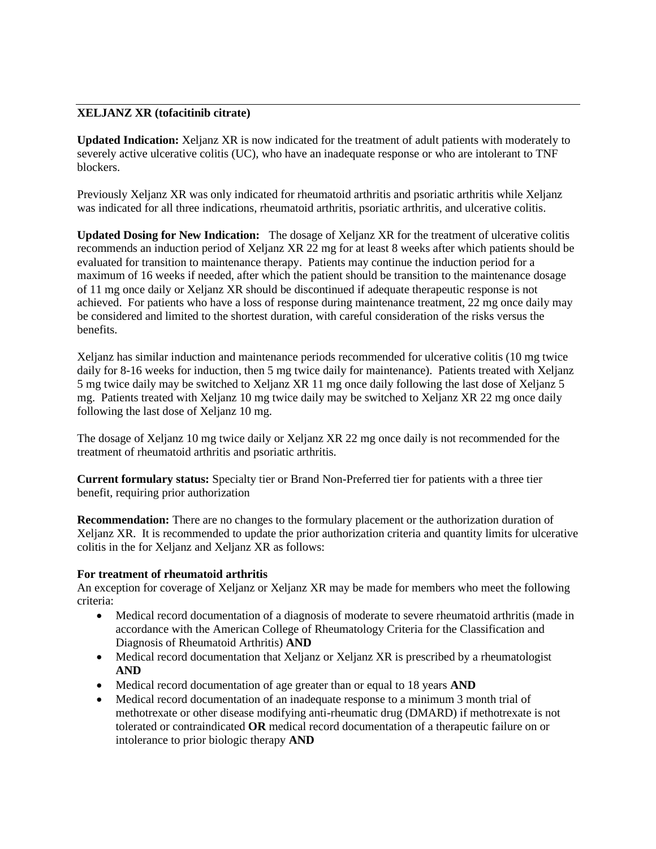# **XELJANZ XR (tofacitinib citrate)**

**Updated Indication:** Xeljanz XR is now indicated for the treatment of adult patients with moderately to severely active ulcerative colitis (UC), who have an inadequate response or who are intolerant to TNF blockers.

Previously Xeljanz XR was only indicated for rheumatoid arthritis and psoriatic arthritis while Xeljanz was indicated for all three indications, rheumatoid arthritis, psoriatic arthritis, and ulcerative colitis.

**Updated Dosing for New Indication:** The dosage of Xeljanz XR for the treatment of ulcerative colitis recommends an induction period of Xeljanz XR 22 mg for at least 8 weeks after which patients should be evaluated for transition to maintenance therapy. Patients may continue the induction period for a maximum of 16 weeks if needed, after which the patient should be transition to the maintenance dosage of 11 mg once daily or Xeljanz XR should be discontinued if adequate therapeutic response is not achieved. For patients who have a loss of response during maintenance treatment, 22 mg once daily may be considered and limited to the shortest duration, with careful consideration of the risks versus the benefits.

Xeljanz has similar induction and maintenance periods recommended for ulcerative colitis (10 mg twice daily for 8-16 weeks for induction, then 5 mg twice daily for maintenance). Patients treated with Xeljanz 5 mg twice daily may be switched to Xeljanz XR 11 mg once daily following the last dose of Xeljanz 5 mg. Patients treated with Xeljanz 10 mg twice daily may be switched to Xeljanz XR 22 mg once daily following the last dose of Xeljanz 10 mg.

The dosage of Xeljanz 10 mg twice daily or Xeljanz XR 22 mg once daily is not recommended for the treatment of rheumatoid arthritis and psoriatic arthritis.

**Current formulary status:** Specialty tier or Brand Non-Preferred tier for patients with a three tier benefit, requiring prior authorization

**Recommendation:** There are no changes to the formulary placement or the authorization duration of Xeljanz XR. It is recommended to update the prior authorization criteria and quantity limits for ulcerative colitis in the for Xeljanz and Xeljanz XR as follows:

# **For treatment of rheumatoid arthritis**

An exception for coverage of Xeljanz or Xeljanz XR may be made for members who meet the following criteria:

- Medical record documentation of a diagnosis of moderate to severe rheumatoid arthritis (made in accordance with the American College of Rheumatology Criteria for the Classification and Diagnosis of Rheumatoid Arthritis) **AND**
- Medical record documentation that Xeljanz or Xeljanz XR is prescribed by a rheumatologist **AND**
- Medical record documentation of age greater than or equal to 18 years **AND**
- Medical record documentation of an inadequate response to a minimum 3 month trial of methotrexate or other disease modifying anti-rheumatic drug (DMARD) if methotrexate is not tolerated or contraindicated **OR** medical record documentation of a therapeutic failure on or intolerance to prior biologic therapy **AND**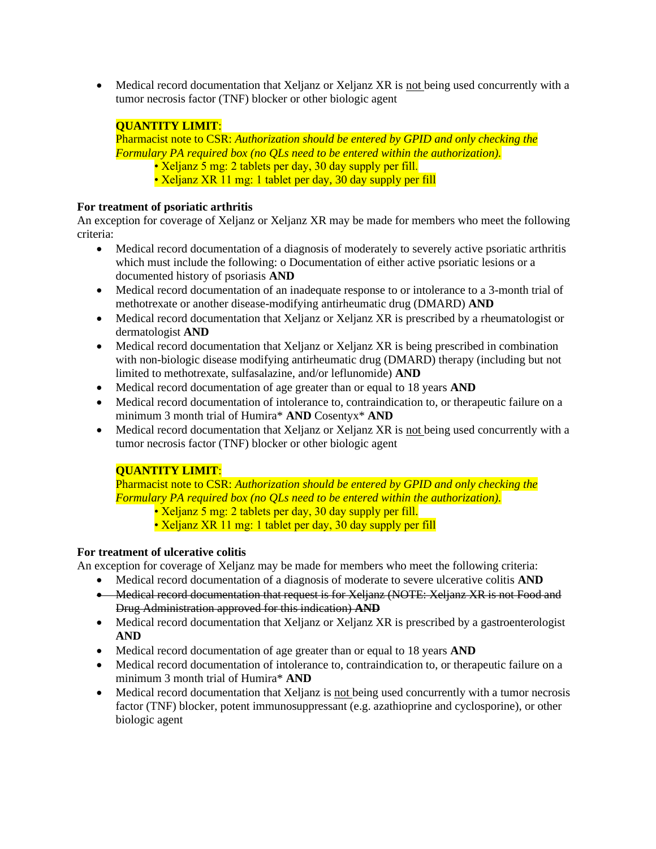• Medical record documentation that Xeljanz or Xeljanz XR is not being used concurrently with a tumor necrosis factor (TNF) blocker or other biologic agent

# **QUANTITY LIMIT**:

Pharmacist note to CSR: *Authorization should be entered by GPID and only checking the Formulary PA required box (no QLs need to be entered within the authorization).*  • Xeljanz 5 mg: 2 tablets per day, 30 day supply per fill. • Xeljanz XR 11 mg: 1 tablet per day, 30 day supply per fill

# **For treatment of psoriatic arthritis**

An exception for coverage of Xeljanz or Xeljanz XR may be made for members who meet the following criteria:

- Medical record documentation of a diagnosis of moderately to severely active psoriatic arthritis which must include the following: o Documentation of either active psoriatic lesions or a documented history of psoriasis **AND**
- Medical record documentation of an inadequate response to or intolerance to a 3-month trial of methotrexate or another disease-modifying antirheumatic drug (DMARD) **AND**
- Medical record documentation that Xeljanz or Xeljanz XR is prescribed by a rheumatologist or dermatologist **AND**
- Medical record documentation that Xeljanz or Xeljanz XR is being prescribed in combination with non-biologic disease modifying antirheumatic drug (DMARD) therapy (including but not limited to methotrexate, sulfasalazine, and/or leflunomide) **AND**
- Medical record documentation of age greater than or equal to 18 years **AND**
- Medical record documentation of intolerance to, contraindication to, or therapeutic failure on a minimum 3 month trial of Humira\* **AND** Cosentyx\* **AND**
- Medical record documentation that Xeljanz or Xeljanz XR is not being used concurrently with a tumor necrosis factor (TNF) blocker or other biologic agent

# **QUANTITY LIMIT**:

Pharmacist note to CSR: *Authorization should be entered by GPID and only checking the Formulary PA required box (no QLs need to be entered within the authorization).* 

- Xeljanz 5 mg: 2 tablets per day, 30 day supply per fill.
- Xeljanz XR 11 mg: 1 tablet per day, 30 day supply per fill

# **For treatment of ulcerative colitis**

An exception for coverage of Xeljanz may be made for members who meet the following criteria:

- Medical record documentation of a diagnosis of moderate to severe ulcerative colitis **AND**
- Medical record documentation that request is for Xeljanz (NOTE: Xeljanz XR is not Food and Drug Administration approved for this indication) **AND**
- Medical record documentation that Xeljanz or Xeljanz XR is prescribed by a gastroenterologist **AND**
- Medical record documentation of age greater than or equal to 18 years **AND**
- Medical record documentation of intolerance to, contraindication to, or therapeutic failure on a minimum 3 month trial of Humira\* **AND**
- Medical record documentation that Xeljanz is not being used concurrently with a tumor necrosis factor (TNF) blocker, potent immunosuppressant (e.g. azathioprine and cyclosporine), or other biologic agent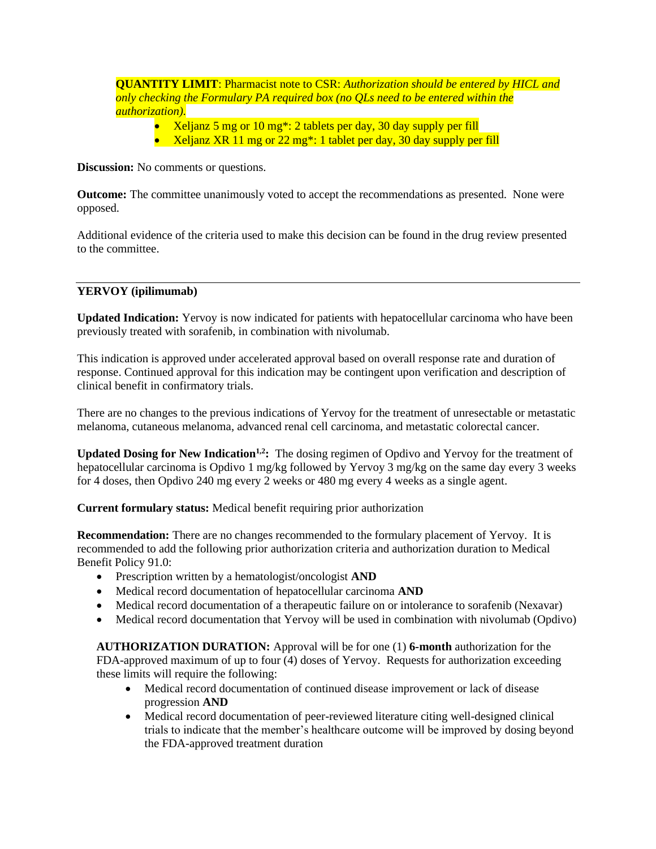**QUANTITY LIMIT**: Pharmacist note to CSR: *Authorization should be entered by HICL and only checking the Formulary PA required box (no QLs need to be entered within the authorization).* 

- Xeljanz 5 mg or 10 mg\*: 2 tablets per day, 30 day supply per fill
- Xeljanz XR 11 mg or 22 mg<sup>\*</sup>: 1 tablet per day, 30 day supply per fill

**Discussion:** No comments or questions.

**Outcome:** The committee unanimously voted to accept the recommendations as presented. None were opposed.

Additional evidence of the criteria used to make this decision can be found in the drug review presented to the committee.

# **YERVOY (ipilimumab)**

**Updated Indication:** Yervoy is now indicated for patients with hepatocellular carcinoma who have been previously treated with sorafenib, in combination with nivolumab.

This indication is approved under accelerated approval based on overall response rate and duration of response. Continued approval for this indication may be contingent upon verification and description of clinical benefit in confirmatory trials.

There are no changes to the previous indications of Yervoy for the treatment of unresectable or metastatic melanoma, cutaneous melanoma, advanced renal cell carcinoma, and metastatic colorectal cancer.

**Updated Dosing for New Indication1,2:** The dosing regimen of Opdivo and Yervoy for the treatment of hepatocellular carcinoma is Opdivo 1 mg/kg followed by Yervoy 3 mg/kg on the same day every 3 weeks for 4 doses, then Opdivo 240 mg every 2 weeks or 480 mg every 4 weeks as a single agent.

**Current formulary status:** Medical benefit requiring prior authorization

**Recommendation:** There are no changes recommended to the formulary placement of Yervoy. It is recommended to add the following prior authorization criteria and authorization duration to Medical Benefit Policy 91.0:

- Prescription written by a hematologist/oncologist **AND**
- Medical record documentation of hepatocellular carcinoma **AND**
- Medical record documentation of a therapeutic failure on or intolerance to sorafenib (Nexavar)
- Medical record documentation that Yervoy will be used in combination with nivolumab (Opdivo)

**AUTHORIZATION DURATION:** Approval will be for one (1) **6-month** authorization for the FDA-approved maximum of up to four (4) doses of Yervoy. Requests for authorization exceeding these limits will require the following:

- Medical record documentation of continued disease improvement or lack of disease progression **AND**
- Medical record documentation of peer-reviewed literature citing well-designed clinical trials to indicate that the member's healthcare outcome will be improved by dosing beyond the FDA-approved treatment duration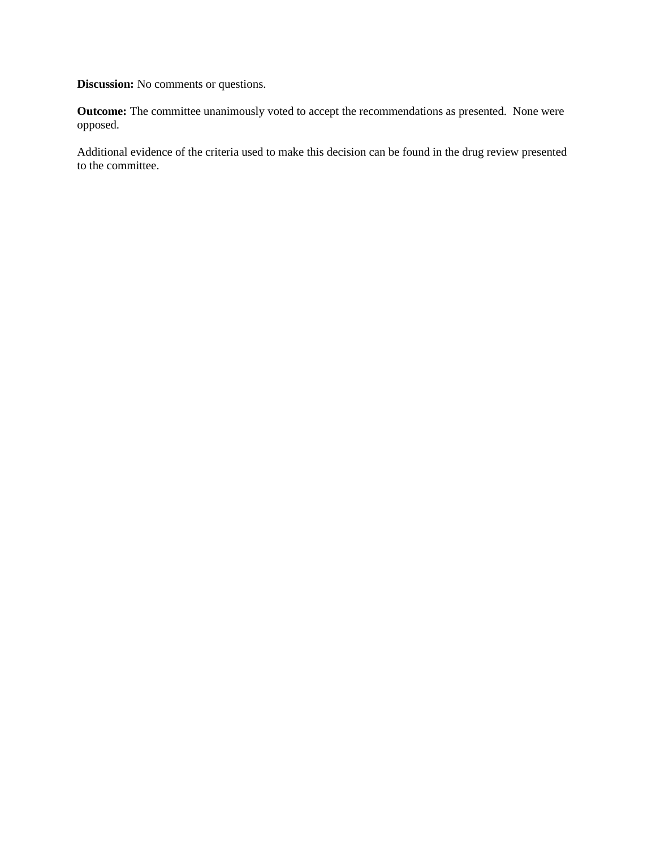**Discussion:** No comments or questions.

**Outcome:** The committee unanimously voted to accept the recommendations as presented. None were opposed.

Additional evidence of the criteria used to make this decision can be found in the drug review presented to the committee.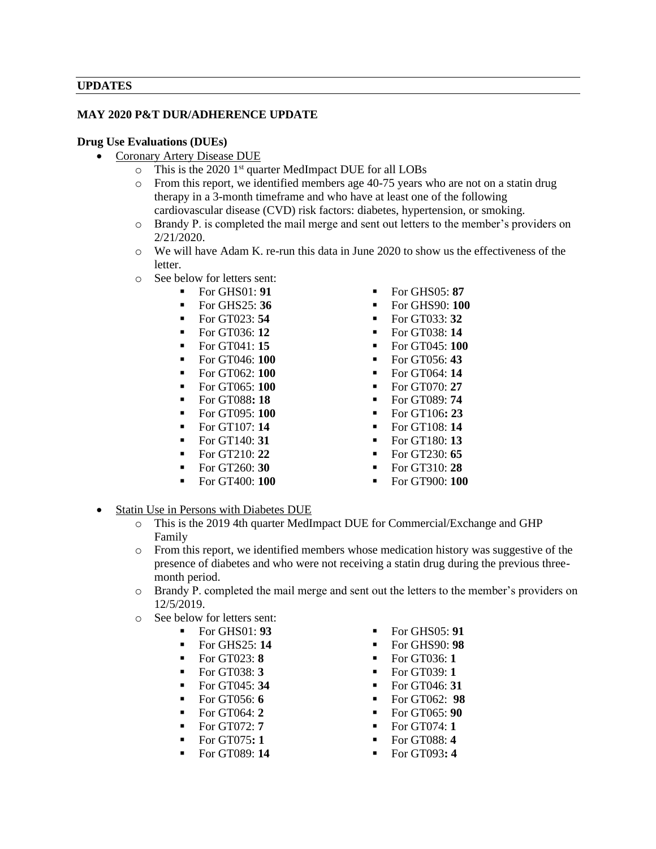#### **UPDATES**

#### **MAY 2020 P&T DUR/ADHERENCE UPDATE**

#### **Drug Use Evaluations (DUEs)**

- Coronary Artery Disease DUE
	- o This is the 2020 1st quarter MedImpact DUE for all LOBs
	- o From this report, we identified members age 40-75 years who are not on a statin drug therapy in a 3-month timeframe and who have at least one of the following cardiovascular disease (CVD) risk factors: diabetes, hypertension, or smoking.
	- o Brandy P. is completed the mail merge and sent out letters to the member's providers on 2/21/2020.
	- o We will have Adam K. re-run this data in June 2020 to show us the effectiveness of the letter.
	- o See below for letters sent:
		- -
			- For GT023: **54** For GT033: **32**
			-
			-
			-
			- For GT062: **100** For GT064: **14**
			-
			-
			-
			- $\blacksquare$  For GT107: **14**  $\blacksquare$  For GT108: **14**
			-
			-
			-
			-
- $\blacksquare$  For GHS01: **91**  $\blacksquare$  For GHS05: **87**
- For GHS25: **36** For GHS90: **100** 
	-
	- For GT036: **12** For GT038: **14**
	- For GT041: **15** For GT045: **100**
	- For GT046: **100** For GT056: **43** 
		-
	- For GT065: **100** For GT070: **27**
	- **For GT088: 18** For GT089: **74**
	- For GT095: **100** For GT106**: 23**
		-
- $\blacksquare$  For GT140: **31**  $\blacksquare$  For GT180: **13** 
	- For GT210: **22** For GT230: **65**
	- For GT260: **30** For GT310: **28**
	- For GT400: **100** For GT900: **100**
- Statin Use in Persons with Diabetes DUE
	- o This is the 2019 4th quarter MedImpact DUE for Commercial/Exchange and GHP Family
	- o From this report, we identified members whose medication history was suggestive of the presence of diabetes and who were not receiving a statin drug during the previous threemonth period.
	- o Brandy P. completed the mail merge and sent out the letters to the member's providers on 12/5/2019.
	- o See below for letters sent:
		- $\blacksquare$  For GHS01: **93**  $\blacksquare$  For GHS05: **91** 
			- For GHS25: **14** For GHS90: **98**
			- $\blacksquare$  For GT023: **8**  $\blacksquare$  For GT036: 1
			- For GT038: **3** For GT039: **1**
		-
		-
		-
		-
		-
		-
- 
- 
- 
- 
- 
- 
- For GT064: **2** For GT065: **90**
- For GT072: **7** For GT074: **1**
- For GT075**: 1** For GT088: **4**
- **For GT089: 14** For GT093: 4
- -
	-
	-
- For GT045: **34** For GT046: **31**
- For GT056: **6**  $\blacksquare$  For GT062: **98**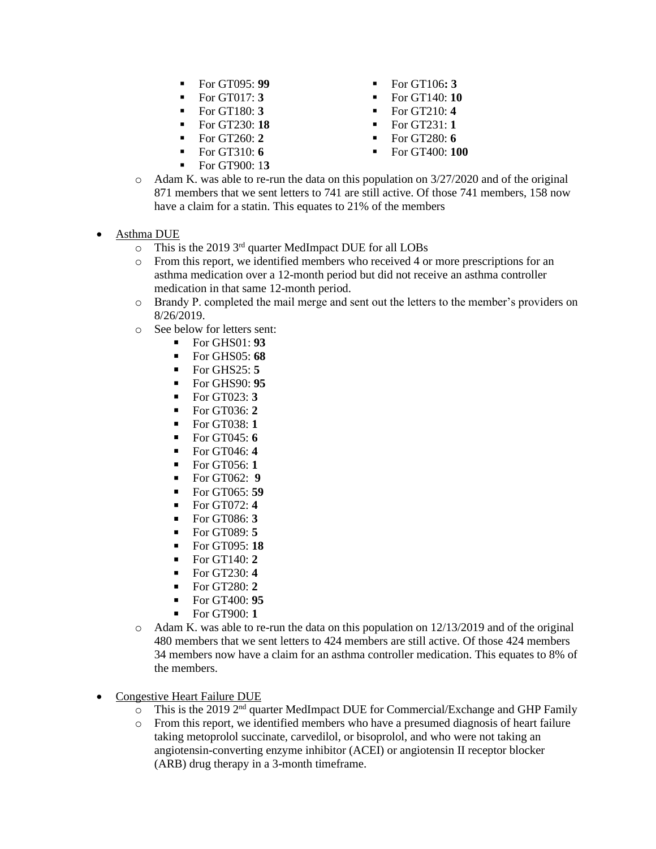- $\blacksquare$  For GT095: **99**  $\blacksquare$  For GT106: **3**
- 
- 
- For GT230: **18** For GT231: **1**
- $\blacksquare$  For GT260: **2**  $\blacksquare$  For GT280: **6**
- For GT310: **6** For GT400: **100**
- For GT900: 1**3**
- 
- **For GT017: 3 •** For GT140: **10**
- For GT180: **3** For GT210: **4** 
	-
	-
	-
- $\circ$  Adam K. was able to re-run the data on this population on 3/27/2020 and of the original 871 members that we sent letters to 741 are still active. Of those 741 members, 158 now have a claim for a statin. This equates to 21% of the members
- Asthma DUE
	- o This is the 2019 3rd quarter MedImpact DUE for all LOBs
	- o From this report, we identified members who received 4 or more prescriptions for an asthma medication over a 12-month period but did not receive an asthma controller medication in that same 12-month period.
	- o Brandy P. completed the mail merge and sent out the letters to the member's providers on 8/26/2019.
	- o See below for letters sent:
		- For GHS01: **93**
		- For GHS05: **68**
		- For GHS25: **5**
		- For GHS90: **95**
		- For GT023: **3**
		- For GT036: **2**
		- For GT038: **1**
		- For GT045: **6**
		- For GT046: **4**
		- For GT056: **1**
		- For GT062: **9**
		- For GT065: **59**
		- For GT072: **4**
		- For GT086: **3**
		- For GT089: **5**
		- For GT095: **18**
		- For GT140: **2**
		- For GT230: **4**
		- For GT280: **2**
		- For GT400: **95**
		- For GT900: **1**
	- $\circ$  Adam K, was able to re-run the data on this population on 12/13/2019 and of the original 480 members that we sent letters to 424 members are still active. Of those 424 members 34 members now have a claim for an asthma controller medication. This equates to 8% of the members.
- Congestive Heart Failure DUE
	- $\overline{O}$  This is the 2019 2<sup>nd</sup> quarter MedImpact DUE for Commercial/Exchange and GHP Family
	- o From this report, we identified members who have a presumed diagnosis of heart failure taking metoprolol succinate, carvedilol, or bisoprolol, and who were not taking an angiotensin-converting enzyme inhibitor (ACEI) or angiotensin II receptor blocker (ARB) drug therapy in a 3-month timeframe.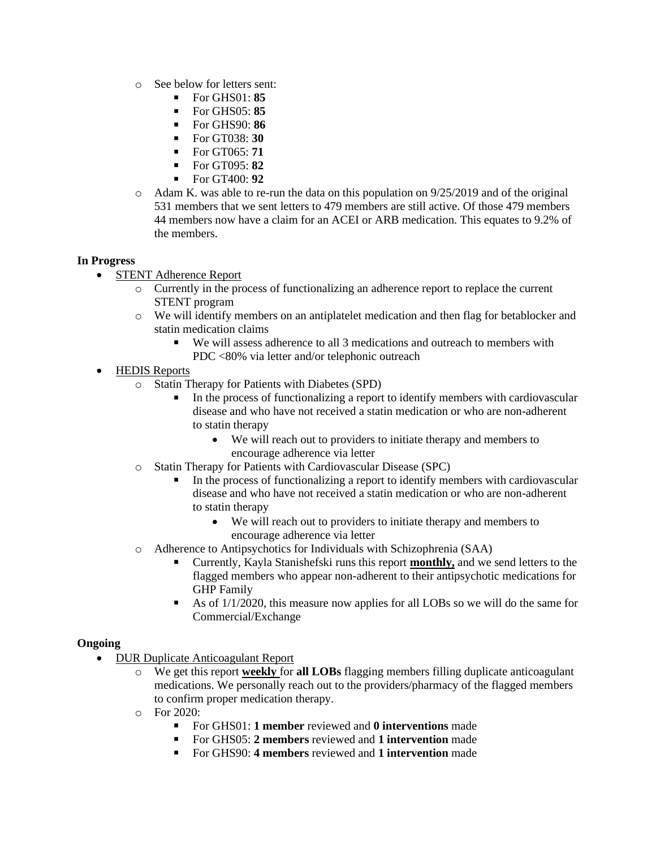- o See below for letters sent:
	- $For$  GHS $01 \cdot$  85
	- For GHS05: **85**
	- For GHS90: **86**
	- For GT038: **30**
	- For GT065: **71**
	- For GT095: **82**
	- For GT400: **92**
- $\circ$  Adam K. was able to re-run the data on this population on 9/25/2019 and of the original 531 members that we sent letters to 479 members are still active. Of those 479 members 44 members now have a claim for an ACEI or ARB medication. This equates to 9.2% of the members.

# **In Progress**

- STENT Adherence Report
	- o Currently in the process of functionalizing an adherence report to replace the current STENT program
	- o We will identify members on an antiplatelet medication and then flag for betablocker and statin medication claims
		- We will assess adherence to all 3 medications and outreach to members with PDC <80% via letter and/or telephonic outreach
- HEDIS Reports
	- o Statin Therapy for Patients with Diabetes (SPD)
		- In the process of functionalizing a report to identify members with cardiovascular disease and who have not received a statin medication or who are non-adherent to statin therapy
			- We will reach out to providers to initiate therapy and members to encourage adherence via letter
	- o Statin Therapy for Patients with Cardiovascular Disease (SPC)
		- In the process of functionalizing a report to identify members with cardiovascular disease and who have not received a statin medication or who are non-adherent to statin therapy
			- We will reach out to providers to initiate therapy and members to encourage adherence via letter
	- o Adherence to Antipsychotics for Individuals with Schizophrenia (SAA)
		- Currently, Kayla Stanishefski runs this report **monthly**, and we send letters to the flagged members who appear non-adherent to their antipsychotic medications for GHP Family
		- As of  $1/1/2020$ , this measure now applies for all LOBs so we will do the same for Commercial/Exchange

# **Ongoing**

- DUR Duplicate Anticoagulant Report
	- o We get this report **weekly** for **all LOBs** flagging members filling duplicate anticoagulant medications. We personally reach out to the providers/pharmacy of the flagged members to confirm proper medication therapy.
	- o For 2020:
		- For GHS01: **1 member** reviewed and **0 interventions** made
		- For GHS05: **2 members** reviewed and **1 intervention** made
		- For GHS90<sup>.</sup> 4 members reviewed and 1 intervention made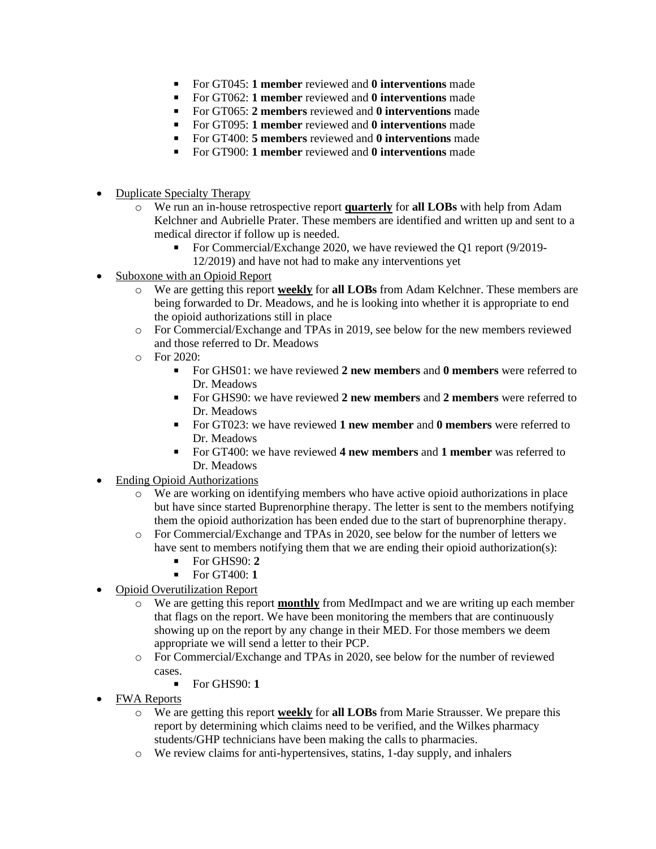- For GT045: **1 member** reviewed and **0 interventions** made
- For GT062: **1 member** reviewed and **0 interventions** made
- For GT065<sup>·</sup> 2 members reviewed and **0 interventions** made
- For GT095: **1 member** reviewed and **0 interventions** made
- For GT400: **5 members** reviewed and **0 interventions** made
- For GT900: **1 member** reviewed and **0 interventions** made
- Duplicate Specialty Therapy
	- o We run an in-house retrospective report **quarterly** for **all LOBs** with help from Adam Kelchner and Aubrielle Prater. These members are identified and written up and sent to a medical director if follow up is needed.
		- For Commercial/Exchange 2020, we have reviewed the Q1 report (9/2019- 12/2019) and have not had to make any interventions yet
- Suboxone with an Opioid Report
	- o We are getting this report **weekly** for **all LOBs** from Adam Kelchner. These members are being forwarded to Dr. Meadows, and he is looking into whether it is appropriate to end the opioid authorizations still in place
	- o For Commercial/Exchange and TPAs in 2019, see below for the new members reviewed and those referred to Dr. Meadows
	- $\circ$  For 2020:
		- For GHS01: we have reviewed **2 new members** and **0 members** were referred to Dr. Meadows
		- For GHS90: we have reviewed **2 new members** and **2 members** were referred to Dr. Meadows
		- For GT023: we have reviewed **1 new member** and **0 members** were referred to Dr. Meadows
		- For GT400: we have reviewed **4 new members** and **1 member** was referred to Dr. Meadows
- Ending Opioid Authorizations
	- o We are working on identifying members who have active opioid authorizations in place but have since started Buprenorphine therapy. The letter is sent to the members notifying them the opioid authorization has been ended due to the start of buprenorphine therapy.
	- o For Commercial/Exchange and TPAs in 2020, see below for the number of letters we have sent to members notifying them that we are ending their opioid authorization(s):
		- For GHS90: **2**
		- For GT400: **1**
- **Opioid Overutilization Report** 
	- o We are getting this report **monthly** from MedImpact and we are writing up each member that flags on the report. We have been monitoring the members that are continuously showing up on the report by any change in their MED. For those members we deem appropriate we will send a letter to their PCP.
	- o For Commercial/Exchange and TPAs in 2020, see below for the number of reviewed cases.
		- For GHS90: **1**
- FWA Reports
	- o We are getting this report **weekly** for **all LOBs** from Marie Strausser. We prepare this report by determining which claims need to be verified, and the Wilkes pharmacy students/GHP technicians have been making the calls to pharmacies.
	- o We review claims for anti-hypertensives, statins, 1-day supply, and inhalers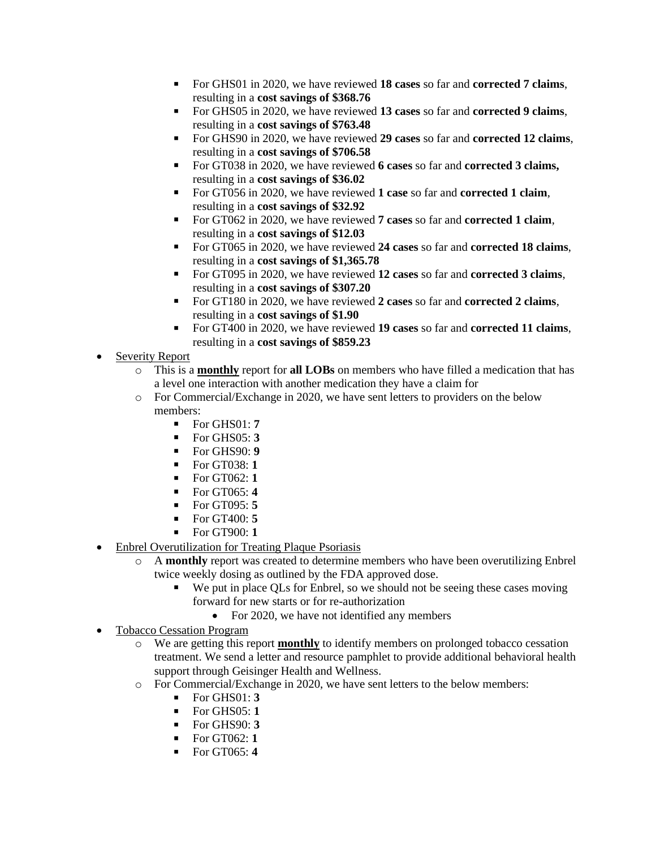- For GHS01 in 2020, we have reviewed **18 cases** so far and **corrected 7 claims**, resulting in a **cost savings of \$368.76**
- For GHS05 in 2020, we have reviewed **13 cases** so far and **corrected 9 claims**, resulting in a **cost savings of \$763.48**
- For GHS90 in 2020, we have reviewed **29 cases** so far and **corrected 12 claims**, resulting in a **cost savings of \$706.58**
- For GT038 in 2020, we have reviewed **6 cases** so far and **corrected 3 claims,** resulting in a **cost savings of \$36.02**
- For GT056 in 2020, we have reviewed **1 case** so far and **corrected 1 claim**, resulting in a **cost savings of \$32.92**
- For GT062 in 2020, we have reviewed **7 cases** so far and **corrected 1 claim**, resulting in a **cost savings of \$12.03**
- For GT065 in 2020, we have reviewed **24 cases** so far and **corrected 18 claims**, resulting in a **cost savings of \$1,365.78**
- For GT095 in 2020, we have reviewed **12 cases** so far and **corrected 3 claims**, resulting in a **cost savings of \$307.20**
- For GT180 in 2020, we have reviewed **2 cases** so far and **corrected 2 claims**, resulting in a **cost savings of \$1.90**
- For GT400 in 2020, we have reviewed **19 cases** so far and **corrected 11 claims**, resulting in a **cost savings of \$859.23**
- Severity Report
	- o This is a **monthly** report for **all LOBs** on members who have filled a medication that has a level one interaction with another medication they have a claim for
	- o For Commercial/Exchange in 2020, we have sent letters to providers on the below members:
		- For GHS01: **7**
		- For GHS05: **3**
		- For GHS90: **9**
		- For GT038: **1**
		- For GT062: **1**
		- For GT065: **4**
		- For GT095: **5**
		- For GT400: **5**
		- For GT900: **1**
- **Enbrel Overutilization for Treating Plaque Psoriasis** 
	- o A **monthly** report was created to determine members who have been overutilizing Enbrel twice weekly dosing as outlined by the FDA approved dose.
		- We put in place QLs for Enbrel, so we should not be seeing these cases moving forward for new starts or for re-authorization
			- For 2020, we have not identified any members
- Tobacco Cessation Program
	- o We are getting this report **monthly** to identify members on prolonged tobacco cessation treatment. We send a letter and resource pamphlet to provide additional behavioral health support through Geisinger Health and Wellness.
	- o For Commercial/Exchange in 2020, we have sent letters to the below members:
		- For GHS01: **3**
		- For GHS05: **1**
		- For GHS90: **3**
		- For GT062: **1**
		- For GT065: **4**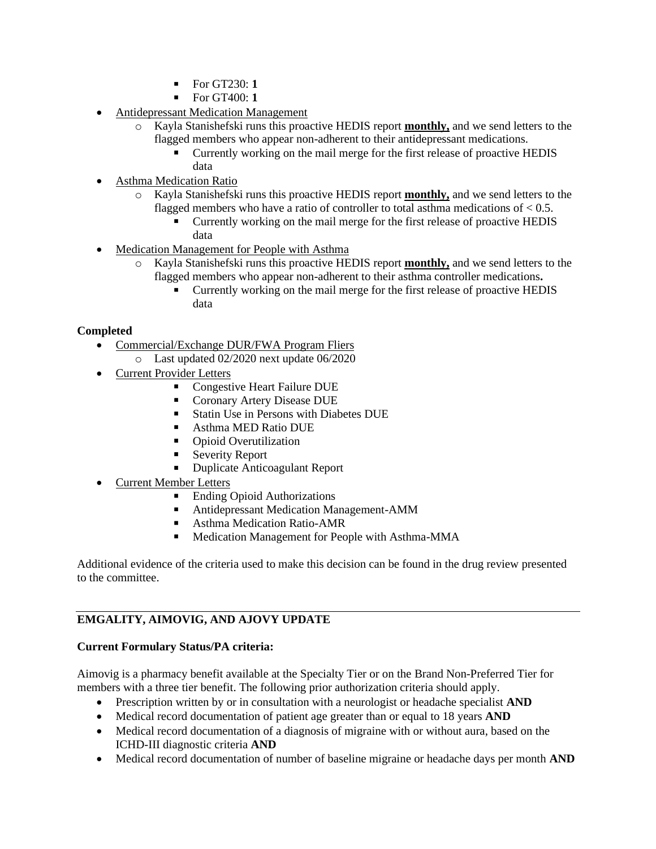- For GT230: **1**
- For GT400: **1**
- Antidepressant Medication Management
	- o Kayla Stanishefski runs this proactive HEDIS report **monthly,** and we send letters to the flagged members who appear non-adherent to their antidepressant medications.
		- Currently working on the mail merge for the first release of proactive HEDIS data
- Asthma Medication Ratio
	- o Kayla Stanishefski runs this proactive HEDIS report **monthly,** and we send letters to the flagged members who have a ratio of controller to total asthma medications of  $< 0.5$ .
		- Currently working on the mail merge for the first release of proactive HEDIS data
- Medication Management for People with Asthma
	- o Kayla Stanishefski runs this proactive HEDIS report **monthly,** and we send letters to the flagged members who appear non-adherent to their asthma controller medications**.**
		- Currently working on the mail merge for the first release of proactive HEDIS data

# **Completed**

- Commercial/Exchange DUR/FWA Program Fliers
	- o Last updated 02/2020 next update 06/2020
- Current Provider Letters
	- Congestive Heart Failure DUE
	- Coronary Artery Disease DUE
	- Statin Use in Persons with Diabetes DUE
	- Asthma MED Ratio DUE
	- Opioid Overutilization
	- **Severity Report**
	- **Duplicate Anticoagulant Report**
- Current Member Letters
	- Ending Opioid Authorizations
	- Antidepressant Medication Management-AMM
	- Asthma Medication Ratio-AMR
	- Medication Management for People with Asthma-MMA

Additional evidence of the criteria used to make this decision can be found in the drug review presented to the committee.

# **EMGALITY, AIMOVIG, AND AJOVY UPDATE**

# **Current Formulary Status/PA criteria:**

Aimovig is a pharmacy benefit available at the Specialty Tier or on the Brand Non-Preferred Tier for members with a three tier benefit. The following prior authorization criteria should apply.

- Prescription written by or in consultation with a neurologist or headache specialist **AND**
- Medical record documentation of patient age greater than or equal to 18 years **AND**
- Medical record documentation of a diagnosis of migraine with or without aura, based on the ICHD-III diagnostic criteria **AND**
- Medical record documentation of number of baseline migraine or headache days per month **AND**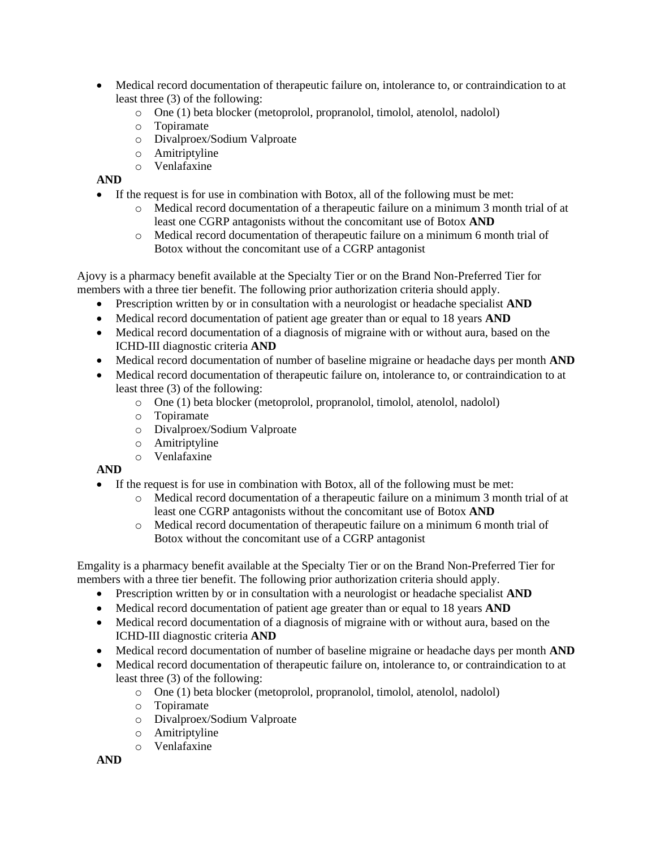- Medical record documentation of therapeutic failure on, intolerance to, or contraindication to at least three (3) of the following:
	- o One (1) beta blocker (metoprolol, propranolol, timolol, atenolol, nadolol)
	- o Topiramate
	- o Divalproex/Sodium Valproate
	- o Amitriptyline
	- o Venlafaxine

# **AND**

- If the request is for use in combination with Botox, all of the following must be met:
	- o Medical record documentation of a therapeutic failure on a minimum 3 month trial of at least one CGRP antagonists without the concomitant use of Botox **AND**
	- o Medical record documentation of therapeutic failure on a minimum 6 month trial of Botox without the concomitant use of a CGRP antagonist

Ajovy is a pharmacy benefit available at the Specialty Tier or on the Brand Non-Preferred Tier for members with a three tier benefit. The following prior authorization criteria should apply.

- Prescription written by or in consultation with a neurologist or headache specialist **AND**
- Medical record documentation of patient age greater than or equal to 18 years **AND**
- Medical record documentation of a diagnosis of migraine with or without aura, based on the ICHD-III diagnostic criteria **AND**
- Medical record documentation of number of baseline migraine or headache days per month **AND**
- Medical record documentation of therapeutic failure on, intolerance to, or contraindication to at least three (3) of the following:
	- o One (1) beta blocker (metoprolol, propranolol, timolol, atenolol, nadolol)
	- o Topiramate
	- o Divalproex/Sodium Valproate
	- o Amitriptyline
	- o Venlafaxine

# **AND**

- If the request is for use in combination with Botox, all of the following must be met:
	- o Medical record documentation of a therapeutic failure on a minimum 3 month trial of at least one CGRP antagonists without the concomitant use of Botox **AND**
	- o Medical record documentation of therapeutic failure on a minimum 6 month trial of Botox without the concomitant use of a CGRP antagonist

Emgality is a pharmacy benefit available at the Specialty Tier or on the Brand Non-Preferred Tier for members with a three tier benefit. The following prior authorization criteria should apply.

- Prescription written by or in consultation with a neurologist or headache specialist **AND**
- Medical record documentation of patient age greater than or equal to 18 years **AND**
- Medical record documentation of a diagnosis of migraine with or without aura, based on the ICHD-III diagnostic criteria **AND**
- Medical record documentation of number of baseline migraine or headache days per month **AND**
- Medical record documentation of therapeutic failure on, intolerance to, or contraindication to at least three (3) of the following:
	- o One (1) beta blocker (metoprolol, propranolol, timolol, atenolol, nadolol)
	- o Topiramate
	- o Divalproex/Sodium Valproate
	- o Amitriptyline
	- o Venlafaxine

**AND**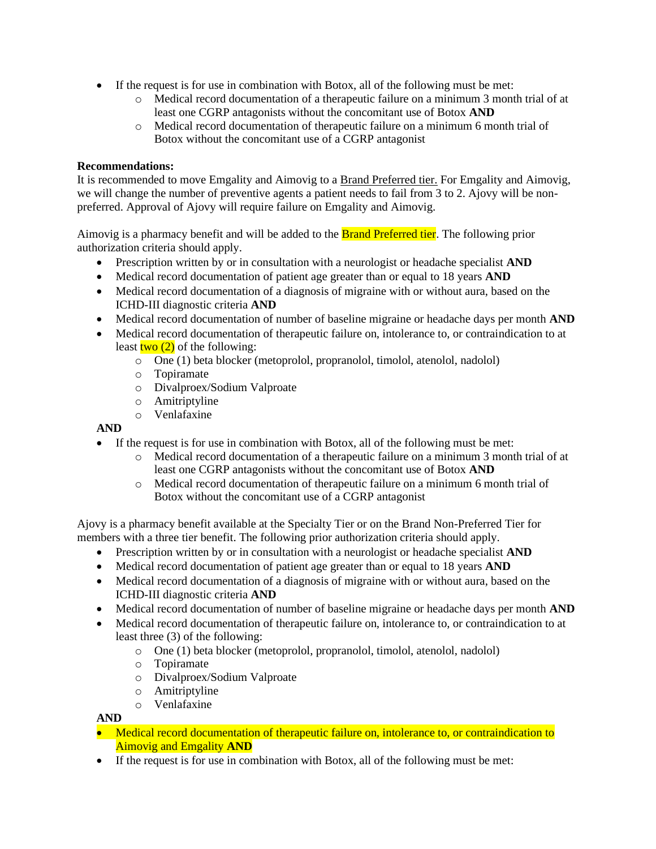- If the request is for use in combination with Botox, all of the following must be met:
	- o Medical record documentation of a therapeutic failure on a minimum 3 month trial of at least one CGRP antagonists without the concomitant use of Botox **AND**
	- o Medical record documentation of therapeutic failure on a minimum 6 month trial of Botox without the concomitant use of a CGRP antagonist

# **Recommendations:**

It is recommended to move Emgality and Aimovig to a Brand Preferred tier. For Emgality and Aimovig, we will change the number of preventive agents a patient needs to fail from 3 to 2. Ajovy will be nonpreferred. Approval of Ajovy will require failure on Emgality and Aimovig.

Aimovig is a pharmacy benefit and will be added to the **Brand Preferred tier**. The following prior authorization criteria should apply.

- Prescription written by or in consultation with a neurologist or headache specialist **AND**
- Medical record documentation of patient age greater than or equal to 18 years **AND**
- Medical record documentation of a diagnosis of migraine with or without aura, based on the ICHD-III diagnostic criteria **AND**
- Medical record documentation of number of baseline migraine or headache days per month **AND**
- Medical record documentation of therapeutic failure on, intolerance to, or contraindication to at least  $\frac{\text{two (2)}}{\text{of the following:}}$ 
	- o One (1) beta blocker (metoprolol, propranolol, timolol, atenolol, nadolol)
	- o Topiramate
	- o Divalproex/Sodium Valproate
	- o Amitriptyline
	- o Venlafaxine

# **AND**

- If the request is for use in combination with Botox, all of the following must be met:
	- o Medical record documentation of a therapeutic failure on a minimum 3 month trial of at least one CGRP antagonists without the concomitant use of Botox **AND**
	- o Medical record documentation of therapeutic failure on a minimum 6 month trial of Botox without the concomitant use of a CGRP antagonist

Ajovy is a pharmacy benefit available at the Specialty Tier or on the Brand Non-Preferred Tier for members with a three tier benefit. The following prior authorization criteria should apply.

- Prescription written by or in consultation with a neurologist or headache specialist **AND**
- Medical record documentation of patient age greater than or equal to 18 years **AND**
- Medical record documentation of a diagnosis of migraine with or without aura, based on the ICHD-III diagnostic criteria **AND**
- Medical record documentation of number of baseline migraine or headache days per month **AND**
- Medical record documentation of therapeutic failure on, intolerance to, or contraindication to at least three (3) of the following:
	- o One (1) beta blocker (metoprolol, propranolol, timolol, atenolol, nadolol)
	- o Topiramate
	- o Divalproex/Sodium Valproate
	- o Amitriptyline
	- o Venlafaxine

# **AND**

- Medical record documentation of therapeutic failure on, intolerance to, or contraindication to Aimovig and Emgality **AND**
- If the request is for use in combination with Botox, all of the following must be met: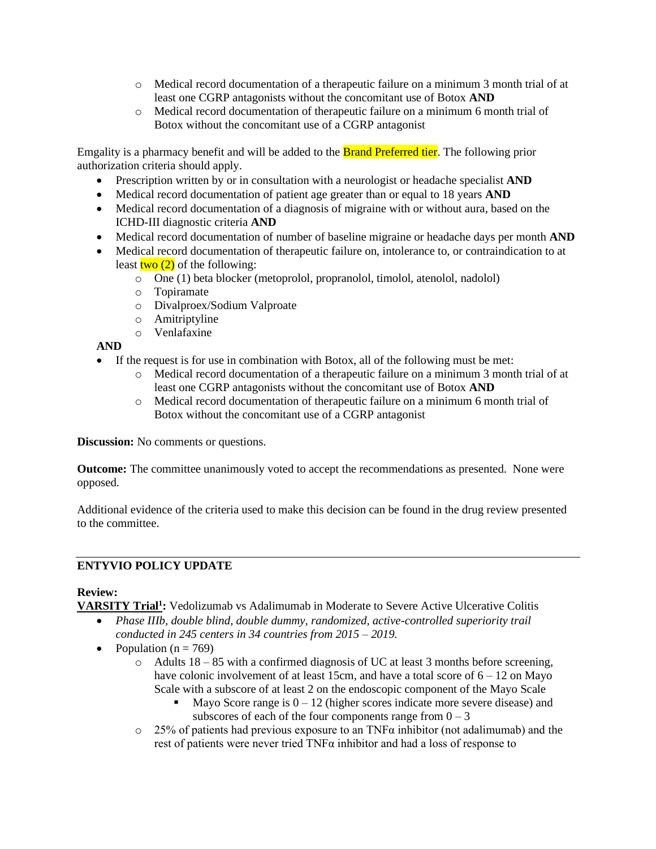- o Medical record documentation of a therapeutic failure on a minimum 3 month trial of at least one CGRP antagonists without the concomitant use of Botox **AND**
- o Medical record documentation of therapeutic failure on a minimum 6 month trial of Botox without the concomitant use of a CGRP antagonist

Emgality is a pharmacy benefit and will be added to the Brand Preferred tier. The following prior authorization criteria should apply.

- Prescription written by or in consultation with a neurologist or headache specialist **AND**
- Medical record documentation of patient age greater than or equal to 18 years **AND**
- Medical record documentation of a diagnosis of migraine with or without aura, based on the ICHD-III diagnostic criteria **AND**
- Medical record documentation of number of baseline migraine or headache days per month **AND**
- Medical record documentation of therapeutic failure on, intolerance to, or contraindication to at least  $\frac{\text{two (2)}}{\text{of the following:}}$ 
	- o One (1) beta blocker (metoprolol, propranolol, timolol, atenolol, nadolol)
	- o Topiramate
	- o Divalproex/Sodium Valproate
	- o Amitriptyline
	- o Venlafaxine

**AND**

- If the request is for use in combination with Botox, all of the following must be met:
	- o Medical record documentation of a therapeutic failure on a minimum 3 month trial of at least one CGRP antagonists without the concomitant use of Botox **AND**
	- o Medical record documentation of therapeutic failure on a minimum 6 month trial of Botox without the concomitant use of a CGRP antagonist

**Discussion:** No comments or questions.

**Outcome:** The committee unanimously voted to accept the recommendations as presented. None were opposed.

Additional evidence of the criteria used to make this decision can be found in the drug review presented to the committee.

# **ENTYVIO POLICY UPDATE**

# **Review:**

**VARSITY Trial<sup>1</sup> :** Vedolizumab vs Adalimumab in Moderate to Severe Active Ulcerative Colitis

- *Phase IIIb, double blind, double dummy, randomized, active-controlled superiority trail*
- *conducted in 245 centers in 34 countries from 2015 – 2019.*
- Population ( $n = 769$ )
	- $\circ$  Adults 18 85 with a confirmed diagnosis of UC at least 3 months before screening, have colonic involvement of at least 15cm, and have a total score of  $6 - 12$  on Mayo Scale with a subscore of at least 2 on the endoscopic component of the Mayo Scale
		- Mayo Score range is  $0 12$  (higher scores indicate more severe disease) and subscores of each of the four components range from  $0 - 3$
	- $\circ$  25% of patients had previous exposure to an TNF $\alpha$  inhibitor (not adalimumab) and the rest of patients were never tried  $TNF\alpha$  inhibitor and had a loss of response to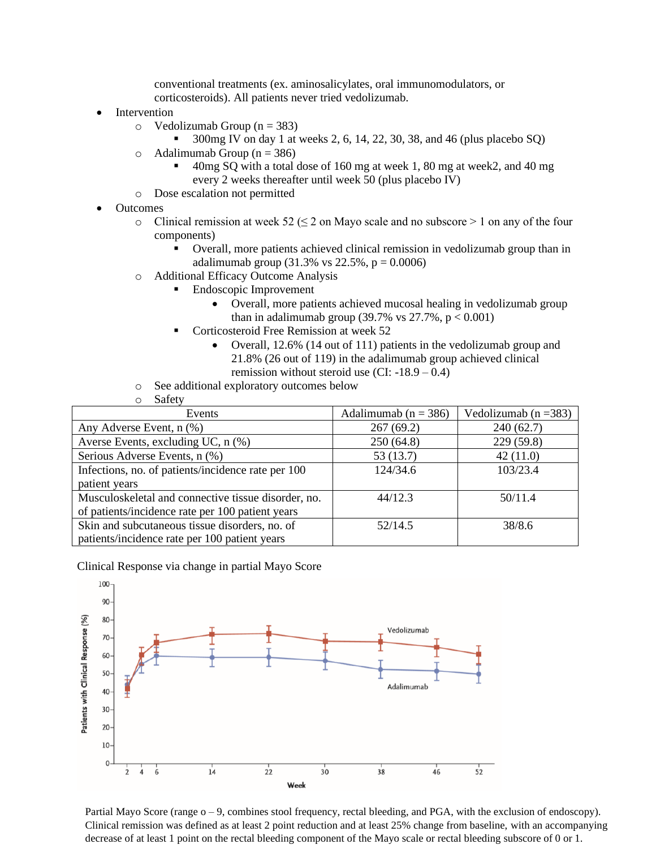conventional treatments (ex. aminosalicylates, oral immunomodulators, or corticosteroids). All patients never tried vedolizumab.

- **Intervention** 
	- $\circ$  Vedolizumab Group (n = 383)
		- 300mg IV on day 1 at weeks 2, 6, 14, 22, 30, 38, and 46 (plus placebo SQ)
	- $\circ$  Adalimumab Group (n = 386)
		- $40mg$  SQ with a total dose of 160 mg at week 1, 80 mg at week 2, and 40 mg every 2 weeks thereafter until week 50 (plus placebo IV)
	- o Dose escalation not permitted
- Outcomes
	- $\circ$  Clinical remission at week 52 ( $\leq$  2 on Mayo scale and no subscore  $>$  1 on any of the four components)
		- Overall, more patients achieved clinical remission in vedolizumab group than in adalimumab group (31.3% vs 22.5%,  $p = 0.0006$ )
	- o Additional Efficacy Outcome Analysis
		- Endoscopic Improvement
			- Overall, more patients achieved mucosal healing in vedolizumab group than in adalimumab group (39.7% vs  $27.7%$ ,  $p < 0.001$ )
		- Corticosteroid Free Remission at week 52
			- Overall, 12.6% (14 out of 111) patients in the vedolizumab group and 21.8% (26 out of 119) in the adalimumab group achieved clinical remission without steroid use  $(CI: -18.9 - 0.4)$
	- o See additional exploratory outcomes below
	- o Safety

| Events                                              | Adalimumab ( $n = 386$ ) | Vedolizumab ( $n = 383$ ) |
|-----------------------------------------------------|--------------------------|---------------------------|
| Any Adverse Event, n (%)                            | 267(69.2)                | 240(62.7)                 |
| Averse Events, excluding UC, n (%)                  | 250(64.8)                | 229(59.8)                 |
| Serious Adverse Events, n (%)                       | 53 (13.7)                | 42(11.0)                  |
| Infections, no. of patients/incidence rate per 100  | 124/34.6                 | 103/23.4                  |
| patient years                                       |                          |                           |
| Musculoskeletal and connective tissue disorder, no. | 44/12.3                  | 50/11.4                   |
| of patients/incidence rate per 100 patient years    |                          |                           |
| Skin and subcutaneous tissue disorders, no. of      | 52/14.5                  | 38/8.6                    |
| patients/incidence rate per 100 patient years       |                          |                           |

Clinical Response via change in partial Mayo Score



Partial Mayo Score (range  $o - 9$ , combines stool frequency, rectal bleeding, and PGA, with the exclusion of endoscopy). Clinical remission was defined as at least 2 point reduction and at least 25% change from baseline, with an accompanying decrease of at least 1 point on the rectal bleeding component of the Mayo scale or rectal bleeding subscore of 0 or 1.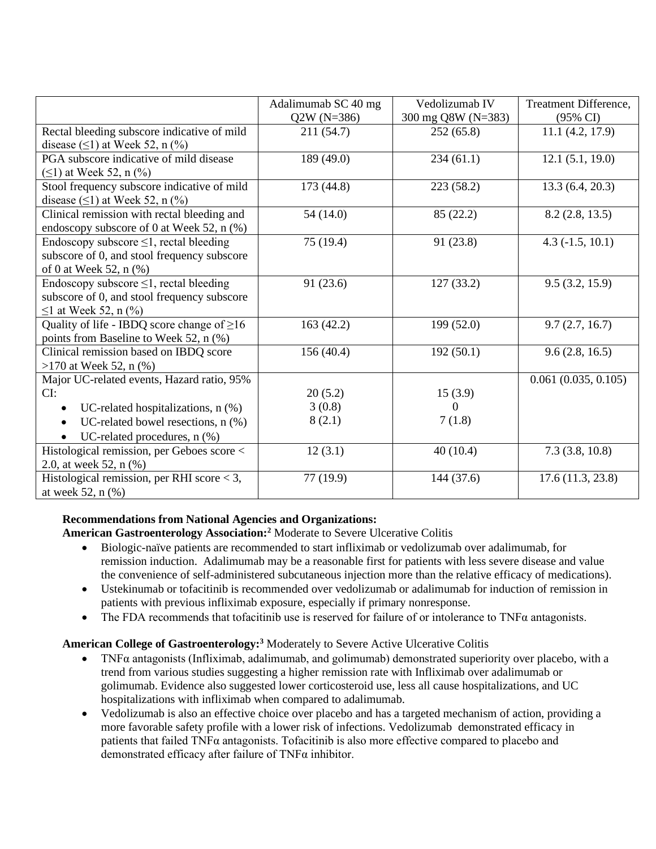|                                                     | Adalimumab SC 40 mg<br>$Q2W (N=386)$ | Vedolizumab IV<br>300 mg Q8W (N=383) | Treatment Difference,<br>$(95\% \text{ CI})$ |
|-----------------------------------------------------|--------------------------------------|--------------------------------------|----------------------------------------------|
| Rectal bleeding subscore indicative of mild         | 211 (54.7)                           | 252(65.8)                            | 11.1 (4.2, 17.9)                             |
| disease $(\leq)$ at Week 52, n $(\%)$               |                                      |                                      |                                              |
| PGA subscore indicative of mild disease             | 189 (49.0)                           | 234(61.1)                            | 12.1(5.1, 19.0)                              |
| $(\leq)$ at Week 52, n $(\%)$                       |                                      |                                      |                                              |
| Stool frequency subscore indicative of mild         | 173(44.8)                            | 223(58.2)                            | 13.3(6.4, 20.3)                              |
| disease $(\leq 1)$ at Week 52, n $(\%$ )            |                                      |                                      |                                              |
| Clinical remission with rectal bleeding and         | 54 (14.0)                            | 85 (22.2)                            | 8.2(2.8, 13.5)                               |
| endoscopy subscore of 0 at Week 52, n (%)           |                                      |                                      |                                              |
| Endoscopy subscore $\leq 1$ , rectal bleeding       | 75 (19.4)                            | 91 (23.8)                            | $4.3(-1.5, 10.1)$                            |
| subscore of 0, and stool frequency subscore         |                                      |                                      |                                              |
| of 0 at Week 52, n (%)                              |                                      |                                      |                                              |
| Endoscopy subscore $\leq$ 1, rectal bleeding        | 91 (23.6)                            | 127(33.2)                            | 9.5(3.2, 15.9)                               |
| subscore of 0, and stool frequency subscore         |                                      |                                      |                                              |
| $\leq$ 1 at Week 52, n (%)                          |                                      |                                      |                                              |
| Quality of life - IBDQ score change of $\geq 16$    | 163(42.2)                            | 199 (52.0)                           | 9.7(2.7, 16.7)                               |
| points from Baseline to Week 52, n (%)              |                                      |                                      |                                              |
| Clinical remission based on IBDQ score              | 156(40.4)                            | 192(50.1)                            | 9.6(2.8, 16.5)                               |
| $>170$ at Week 52, n $(\%)$                         |                                      |                                      |                                              |
| Major UC-related events, Hazard ratio, 95%          |                                      |                                      | 0.061(0.035, 0.105)                          |
| CI:                                                 | 20(5.2)                              | 15(3.9)                              |                                              |
| UC-related hospitalizations, $n$ $(\%)$<br>٠        | 3(0.8)                               | $\theta$                             |                                              |
| UC-related bowel resections, $n$ $%$ )<br>$\bullet$ | 8(2.1)                               | 7(1.8)                               |                                              |
| UC-related procedures, $n$ $%$ )<br>$\bullet$       |                                      |                                      |                                              |
| Histological remission, per Geboes score <          | 12(3.1)                              | 40(10.4)                             | 7.3(3.8, 10.8)                               |
| 2.0, at week 52, n (%)                              |                                      |                                      |                                              |
| Histological remission, per RHI score < 3,          | 77 (19.9)                            | 144 (37.6)                           | 17.6(11.3, 23.8)                             |
| at week 52, n (%)                                   |                                      |                                      |                                              |

# **Recommendations from National Agencies and Organizations:**

**American Gastroenterology Association:<sup>2</sup>** Moderate to Severe Ulcerative Colitis

- Biologic-naïve patients are recommended to start infliximab or vedolizumab over adalimumab, for remission induction. Adalimumab may be a reasonable first for patients with less severe disease and value the convenience of self-administered subcutaneous injection more than the relative efficacy of medications).
- Ustekinumab or tofacitinib is recommended over vedolizumab or adalimumab for induction of remission in patients with previous infliximab exposure, especially if primary nonresponse.
- The FDA recommends that tofacitinib use is reserved for failure of or intolerance to TNFα antagonists.

# **American College of Gastroenterology:<sup>3</sup>** Moderately to Severe Active Ulcerative Colitis

- TNFα antagonists (Infliximab, adalimumab, and golimumab) demonstrated superiority over placebo, with a trend from various studies suggesting a higher remission rate with Infliximab over adalimumab or golimumab. Evidence also suggested lower corticosteroid use, less all cause hospitalizations, and UC hospitalizations with infliximab when compared to adalimumab.
- Vedolizumab is also an effective choice over placebo and has a targeted mechanism of action, providing a more favorable safety profile with a lower risk of infections. Vedolizumab demonstrated efficacy in patients that failed  $TNF\alpha$  antagonists. Tofacitinib is also more effective compared to placebo and demonstrated efficacy after failure of TNFα inhibitor.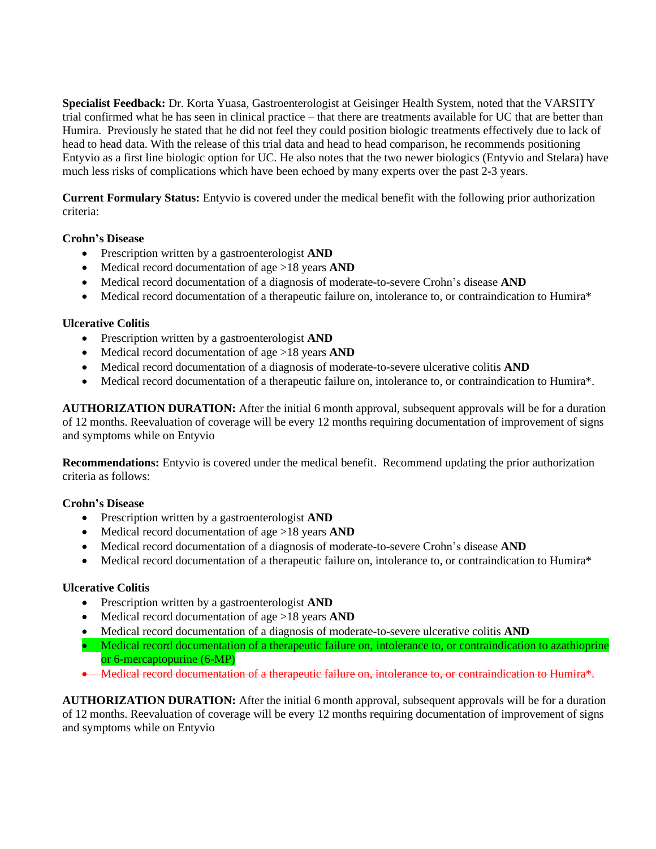**Specialist Feedback:** Dr. Korta Yuasa, Gastroenterologist at Geisinger Health System, noted that the VARSITY trial confirmed what he has seen in clinical practice – that there are treatments available for UC that are better than Humira. Previously he stated that he did not feel they could position biologic treatments effectively due to lack of head to head data. With the release of this trial data and head to head comparison, he recommends positioning Entyvio as a first line biologic option for UC. He also notes that the two newer biologics (Entyvio and Stelara) have much less risks of complications which have been echoed by many experts over the past 2-3 years.

**Current Formulary Status:** Entyvio is covered under the medical benefit with the following prior authorization criteria:

# **Crohn's Disease**

- Prescription written by a gastroenterologist **AND**
- Medical record documentation of age >18 years **AND**
- Medical record documentation of a diagnosis of moderate-to-severe Crohn's disease **AND**
- Medical record documentation of a therapeutic failure on, intolerance to, or contraindication to Humira\*

# **Ulcerative Colitis**

- Prescription written by a gastroenterologist **AND**
- Medical record documentation of age >18 years **AND**
- Medical record documentation of a diagnosis of moderate-to-severe ulcerative colitis **AND**
- Medical record documentation of a therapeutic failure on, intolerance to, or contraindication to Humira\*.

**AUTHORIZATION DURATION:** After the initial 6 month approval, subsequent approvals will be for a duration of 12 months. Reevaluation of coverage will be every 12 months requiring documentation of improvement of signs and symptoms while on Entyvio

**Recommendations:** Entyvio is covered under the medical benefit. Recommend updating the prior authorization criteria as follows:

# **Crohn's Disease**

- Prescription written by a gastroenterologist **AND**
- Medical record documentation of age >18 years **AND**
- Medical record documentation of a diagnosis of moderate-to-severe Crohn's disease **AND**
- Medical record documentation of a therapeutic failure on, intolerance to, or contraindication to Humira\*

#### **Ulcerative Colitis**

- Prescription written by a gastroenterologist **AND**
- Medical record documentation of age >18 years **AND**
- Medical record documentation of a diagnosis of moderate-to-severe ulcerative colitis **AND**
- Medical record documentation of a therapeutic failure on, intolerance to, or contraindication to azathioprine or 6-mercaptopurine (6-MP)
- Medical record documentation of a therapeutic failure on, intolerance to, or contraindication to Humira\*.

**AUTHORIZATION DURATION:** After the initial 6 month approval, subsequent approvals will be for a duration of 12 months. Reevaluation of coverage will be every 12 months requiring documentation of improvement of signs and symptoms while on Entyvio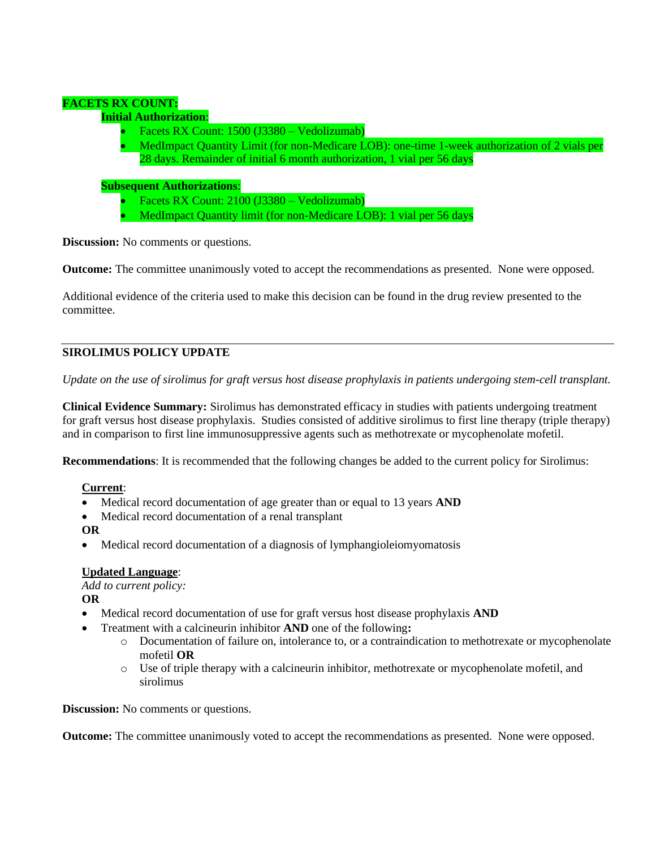# **FACETS RX COUNT:**

# **Initial Authorization**:

- Facets RX Count: 1500 (J3380 Vedolizumab)
- MedImpact Quantity Limit (for non-Medicare LOB): one-time 1-week authorization of 2 vials per 28 days. Remainder of initial 6 month authorization, 1 vial per 56 days

#### **Subsequent Authorizations**:

- Facets RX Count: 2100 (J3380 Vedolizumab)
- MedImpact Quantity limit (for non-Medicare LOB): 1 vial per 56 days

**Discussion:** No comments or questions.

**Outcome:** The committee unanimously voted to accept the recommendations as presented. None were opposed.

Additional evidence of the criteria used to make this decision can be found in the drug review presented to the committee.

# **SIROLIMUS POLICY UPDATE**

*Update on the use of sirolimus for graft versus host disease prophylaxis in patients undergoing stem-cell transplant.*

**Clinical Evidence Summary:** Sirolimus has demonstrated efficacy in studies with patients undergoing treatment for graft versus host disease prophylaxis. Studies consisted of additive sirolimus to first line therapy (triple therapy) and in comparison to first line immunosuppressive agents such as methotrexate or mycophenolate mofetil.

**Recommendations**: It is recommended that the following changes be added to the current policy for Sirolimus:

# **Current**:

- Medical record documentation of age greater than or equal to 13 years **AND**
- Medical record documentation of a renal transplant
- **OR**
- Medical record documentation of a diagnosis of lymphangioleiomyomatosis

# **Updated Language**:

*Add to current policy:*

**OR**

- Medical record documentation of use for graft versus host disease prophylaxis **AND**
- Treatment with a calcineurin inhibitor **AND** one of the following**:**
	- o Documentation of failure on, intolerance to, or a contraindication to methotrexate or mycophenolate mofetil **OR**
	- o Use of triple therapy with a calcineurin inhibitor, methotrexate or mycophenolate mofetil, and sirolimus

**Discussion:** No comments or questions.

**Outcome:** The committee unanimously voted to accept the recommendations as presented. None were opposed.